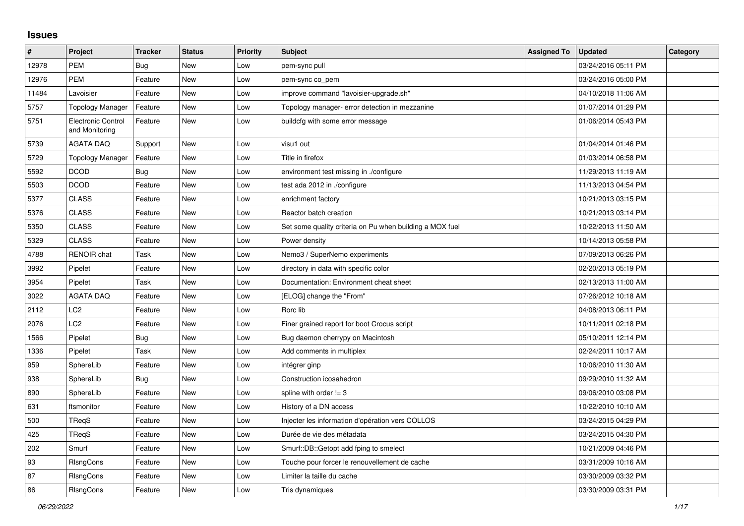## **Issues**

| $\vert$ # | Project                                     | <b>Tracker</b> | <b>Status</b> | <b>Priority</b> | <b>Subject</b>                                           | <b>Assigned To</b> | <b>Updated</b>      | Category |
|-----------|---------------------------------------------|----------------|---------------|-----------------|----------------------------------------------------------|--------------------|---------------------|----------|
| 12978     | <b>PEM</b>                                  | <b>Bug</b>     | New           | Low             | pem-sync pull                                            |                    | 03/24/2016 05:11 PM |          |
| 12976     | <b>PEM</b>                                  | Feature        | <b>New</b>    | Low             | pem-sync co_pem                                          |                    | 03/24/2016 05:00 PM |          |
| 11484     | Lavoisier                                   | Feature        | <b>New</b>    | Low             | improve command "lavoisier-upgrade.sh"                   |                    | 04/10/2018 11:06 AM |          |
| 5757      | <b>Topology Manager</b>                     | Feature        | New           | Low             | Topology manager- error detection in mezzanine           |                    | 01/07/2014 01:29 PM |          |
| 5751      | <b>Electronic Control</b><br>and Monitoring | Feature        | New           | Low             | buildcfg with some error message                         |                    | 01/06/2014 05:43 PM |          |
| 5739      | <b>AGATA DAQ</b>                            | Support        | New           | Low             | visu1 out                                                |                    | 01/04/2014 01:46 PM |          |
| 5729      | <b>Topology Manager</b>                     | Feature        | New           | Low             | Title in firefox                                         |                    | 01/03/2014 06:58 PM |          |
| 5592      | <b>DCOD</b>                                 | <b>Bug</b>     | New           | Low             | environment test missing in ./configure                  |                    | 11/29/2013 11:19 AM |          |
| 5503      | <b>DCOD</b>                                 | Feature        | New           | Low             | test ada 2012 in ./configure                             |                    | 11/13/2013 04:54 PM |          |
| 5377      | <b>CLASS</b>                                | Feature        | New           | Low             | enrichment factory                                       |                    | 10/21/2013 03:15 PM |          |
| 5376      | <b>CLASS</b>                                | Feature        | New           | Low             | Reactor batch creation                                   |                    | 10/21/2013 03:14 PM |          |
| 5350      | <b>CLASS</b>                                | Feature        | New           | Low             | Set some quality criteria on Pu when building a MOX fuel |                    | 10/22/2013 11:50 AM |          |
| 5329      | <b>CLASS</b>                                | Feature        | <b>New</b>    | Low             | Power density                                            |                    | 10/14/2013 05:58 PM |          |
| 4788      | <b>RENOIR</b> chat                          | Task           | New           | Low             | Nemo3 / SuperNemo experiments                            |                    | 07/09/2013 06:26 PM |          |
| 3992      | Pipelet                                     | Feature        | New           | Low             | directory in data with specific color                    |                    | 02/20/2013 05:19 PM |          |
| 3954      | Pipelet                                     | Task           | <b>New</b>    | Low             | Documentation: Environment cheat sheet                   |                    | 02/13/2013 11:00 AM |          |
| 3022      | <b>AGATA DAQ</b>                            | Feature        | <b>New</b>    | Low             | [ELOG] change the "From"                                 |                    | 07/26/2012 10:18 AM |          |
| 2112      | LC2                                         | Feature        | New           | Low             | Rorc lib                                                 |                    | 04/08/2013 06:11 PM |          |
| 2076      | LC2                                         | Feature        | New           | Low             | Finer grained report for boot Crocus script              |                    | 10/11/2011 02:18 PM |          |
| 1566      | Pipelet                                     | <b>Bug</b>     | New           | Low             | Bug daemon cherrypy on Macintosh                         |                    | 05/10/2011 12:14 PM |          |
| 1336      | Pipelet                                     | Task           | New           | Low             | Add comments in multiplex                                |                    | 02/24/2011 10:17 AM |          |
| 959       | SphereLib                                   | Feature        | New           | Low             | intégrer ginp                                            |                    | 10/06/2010 11:30 AM |          |
| 938       | SphereLib                                   | Bug            | New           | Low             | Construction icosahedron                                 |                    | 09/29/2010 11:32 AM |          |
| 890       | SphereLib                                   | Feature        | New           | Low             | spline with order $!=$ 3                                 |                    | 09/06/2010 03:08 PM |          |
| 631       | ftsmonitor                                  | Feature        | <b>New</b>    | Low             | History of a DN access                                   |                    | 10/22/2010 10:10 AM |          |
| 500       | TReqS                                       | Feature        | <b>New</b>    | Low             | Injecter les information d'opération vers COLLOS         |                    | 03/24/2015 04:29 PM |          |
| 425       | TReqS                                       | Feature        | New           | Low             | Durée de vie des métadata                                |                    | 03/24/2015 04:30 PM |          |
| 202       | Smurf                                       | Feature        | New           | Low             | Smurf::DB::Getopt add fping to smelect                   |                    | 10/21/2009 04:46 PM |          |
| 93        | RIsngCons                                   | Feature        | New           | Low             | Touche pour forcer le renouvellement de cache            |                    | 03/31/2009 10:16 AM |          |
| 87        | RIsngCons                                   | Feature        | New           | Low             | Limiter la taille du cache                               |                    | 03/30/2009 03:32 PM |          |
| 86        | <b>RIsngCons</b>                            | Feature        | New           | Low             | Tris dynamiques                                          |                    | 03/30/2009 03:31 PM |          |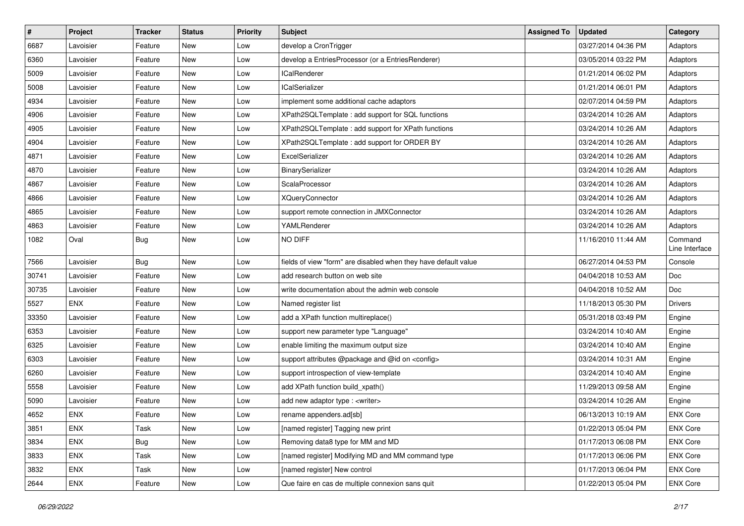| $\vert$ # | Project    | <b>Tracker</b> | <b>Status</b> | <b>Priority</b> | <b>Subject</b>                                                  | <b>Assigned To</b> | <b>Updated</b>      | Category                  |
|-----------|------------|----------------|---------------|-----------------|-----------------------------------------------------------------|--------------------|---------------------|---------------------------|
| 6687      | Lavoisier  | Feature        | New           | Low             | develop a CronTrigger                                           |                    | 03/27/2014 04:36 PM | Adaptors                  |
| 6360      | Lavoisier  | Feature        | <b>New</b>    | Low             | develop a EntriesProcessor (or a EntriesRenderer)               |                    | 03/05/2014 03:22 PM | Adaptors                  |
| 5009      | Lavoisier  | Feature        | <b>New</b>    | Low             | <b>ICalRenderer</b>                                             |                    | 01/21/2014 06:02 PM | Adaptors                  |
| 5008      | Lavoisier  | Feature        | <b>New</b>    | Low             | <b>ICalSerializer</b>                                           |                    | 01/21/2014 06:01 PM | Adaptors                  |
| 4934      | Lavoisier  | Feature        | <b>New</b>    | Low             | implement some additional cache adaptors                        |                    | 02/07/2014 04:59 PM | Adaptors                  |
| 4906      | Lavoisier  | Feature        | New           | Low             | XPath2SQLTemplate: add support for SQL functions                |                    | 03/24/2014 10:26 AM | Adaptors                  |
| 4905      | Lavoisier  | Feature        | <b>New</b>    | Low             | XPath2SQLTemplate : add support for XPath functions             |                    | 03/24/2014 10:26 AM | Adaptors                  |
| 4904      | Lavoisier  | Feature        | New           | Low             | XPath2SQLTemplate : add support for ORDER BY                    |                    | 03/24/2014 10:26 AM | Adaptors                  |
| 4871      | Lavoisier  | Feature        | New           | Low             | ExcelSerializer                                                 |                    | 03/24/2014 10:26 AM | Adaptors                  |
| 4870      | Lavoisier  | Feature        | <b>New</b>    | Low             | BinarySerializer                                                |                    | 03/24/2014 10:26 AM | Adaptors                  |
| 4867      | Lavoisier  | Feature        | New           | Low             | ScalaProcessor                                                  |                    | 03/24/2014 10:26 AM | Adaptors                  |
| 4866      | Lavoisier  | Feature        | New           | Low             | <b>XQueryConnector</b>                                          |                    | 03/24/2014 10:26 AM | Adaptors                  |
| 4865      | Lavoisier  | Feature        | <b>New</b>    | Low             | support remote connection in JMXConnector                       |                    | 03/24/2014 10:26 AM | Adaptors                  |
| 4863      | Lavoisier  | Feature        | New           | Low             | YAMLRenderer                                                    |                    | 03/24/2014 10:26 AM | Adaptors                  |
| 1082      | Oval       | Bug            | <b>New</b>    | Low             | NO DIFF                                                         |                    | 11/16/2010 11:44 AM | Command<br>Line Interface |
| 7566      | Lavoisier  | Bug            | <b>New</b>    | Low             | fields of view "form" are disabled when they have default value |                    | 06/27/2014 04:53 PM | Console                   |
| 30741     | Lavoisier  | Feature        | <b>New</b>    | Low             | add research button on web site                                 |                    | 04/04/2018 10:53 AM | Doc                       |
| 30735     | Lavoisier  | Feature        | New           | Low             | write documentation about the admin web console                 |                    | 04/04/2018 10:52 AM | Doc                       |
| 5527      | <b>ENX</b> | Feature        | <b>New</b>    | Low             | Named register list                                             |                    | 11/18/2013 05:30 PM | <b>Drivers</b>            |
| 33350     | Lavoisier  | Feature        | <b>New</b>    | Low             | add a XPath function multireplace()                             |                    | 05/31/2018 03:49 PM | Engine                    |
| 6353      | Lavoisier  | Feature        | <b>New</b>    | Low             | support new parameter type "Language"                           |                    | 03/24/2014 10:40 AM | Engine                    |
| 6325      | Lavoisier  | Feature        | <b>New</b>    | Low             | enable limiting the maximum output size                         |                    | 03/24/2014 10:40 AM | Engine                    |
| 6303      | Lavoisier  | Feature        | New           | Low             | support attributes @package and @id on <config></config>        |                    | 03/24/2014 10:31 AM | Engine                    |
| 6260      | Lavoisier  | Feature        | <b>New</b>    | Low             | support introspection of view-template                          |                    | 03/24/2014 10:40 AM | Engine                    |
| 5558      | Lavoisier  | Feature        | New           | Low             | add XPath function build_xpath()                                |                    | 11/29/2013 09:58 AM | Engine                    |
| 5090      | Lavoisier  | Feature        | <b>New</b>    | Low             | add new adaptor type : <writer></writer>                        |                    | 03/24/2014 10:26 AM | Engine                    |
| 4652      | <b>ENX</b> | Feature        | <b>New</b>    | Low             | rename appenders.ad[sb]                                         |                    | 06/13/2013 10:19 AM | <b>ENX Core</b>           |
| 3851      | <b>ENX</b> | Task           | New           | Low             | [named register] Tagging new print                              |                    | 01/22/2013 05:04 PM | <b>ENX Core</b>           |
| 3834      | ENX        | <b>Bug</b>     | New           | Low             | Removing data8 type for MM and MD                               |                    | 01/17/2013 06:08 PM | <b>ENX Core</b>           |
| 3833      | ENX        | Task           | New           | Low             | [named register] Modifying MD and MM command type               |                    | 01/17/2013 06:06 PM | <b>ENX Core</b>           |
| 3832      | <b>ENX</b> | Task           | New           | Low             | [named register] New control                                    |                    | 01/17/2013 06:04 PM | <b>ENX Core</b>           |
| 2644      | ENX        | Feature        | New           | Low             | Que faire en cas de multiple connexion sans quit                |                    | 01/22/2013 05:04 PM | <b>ENX Core</b>           |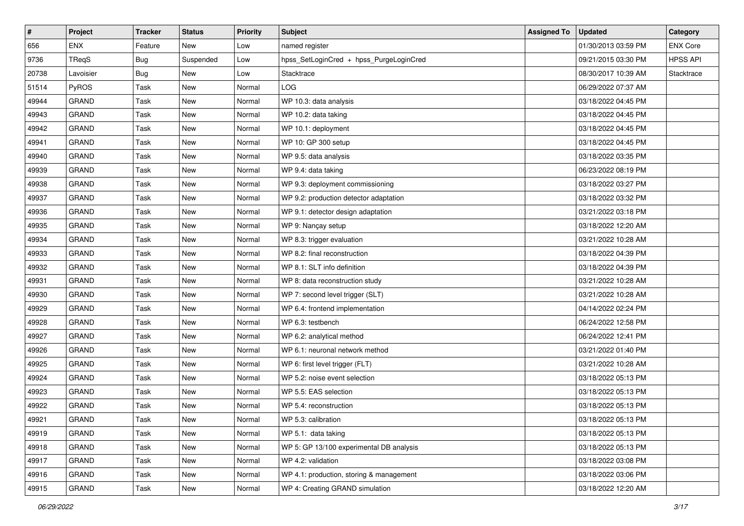| $\sharp$ | Project      | <b>Tracker</b> | <b>Status</b> | <b>Priority</b> | <b>Subject</b>                           | <b>Assigned To</b> | <b>Updated</b>      | Category        |
|----------|--------------|----------------|---------------|-----------------|------------------------------------------|--------------------|---------------------|-----------------|
| 656      | <b>ENX</b>   | Feature        | New           | Low             | named register                           |                    | 01/30/2013 03:59 PM | <b>ENX Core</b> |
| 9736     | TReaS        | <b>Bug</b>     | Suspended     | Low             | hpss_SetLoginCred + hpss_PurgeLoginCred  |                    | 09/21/2015 03:30 PM | <b>HPSS API</b> |
| 20738    | Lavoisier    | <b>Bug</b>     | New           | Low             | Stacktrace                               |                    | 08/30/2017 10:39 AM | Stacktrace      |
| 51514    | PyROS        | Task           | New           | Normal          | LOG                                      |                    | 06/29/2022 07:37 AM |                 |
| 49944    | <b>GRAND</b> | Task           | New           | Normal          | WP 10.3: data analysis                   |                    | 03/18/2022 04:45 PM |                 |
| 49943    | GRAND        | Task           | New           | Normal          | WP 10.2: data taking                     |                    | 03/18/2022 04:45 PM |                 |
| 49942    | GRAND        | Task           | New           | Normal          | WP 10.1: deployment                      |                    | 03/18/2022 04:45 PM |                 |
| 49941    | <b>GRAND</b> | Task           | New           | Normal          | WP 10: GP 300 setup                      |                    | 03/18/2022 04:45 PM |                 |
| 49940    | GRAND        | Task           | New           | Normal          | WP 9.5: data analysis                    |                    | 03/18/2022 03:35 PM |                 |
| 49939    | <b>GRAND</b> | Task           | New           | Normal          | WP 9.4: data taking                      |                    | 06/23/2022 08:19 PM |                 |
| 49938    | GRAND        | Task           | New           | Normal          | WP 9.3: deployment commissioning         |                    | 03/18/2022 03:27 PM |                 |
| 49937    | <b>GRAND</b> | Task           | New           | Normal          | WP 9.2: production detector adaptation   |                    | 03/18/2022 03:32 PM |                 |
| 49936    | <b>GRAND</b> | Task           | New           | Normal          | WP 9.1: detector design adaptation       |                    | 03/21/2022 03:18 PM |                 |
| 49935    | GRAND        | Task           | New           | Normal          | WP 9: Nançay setup                       |                    | 03/18/2022 12:20 AM |                 |
| 49934    | GRAND        | Task           | New           | Normal          | WP 8.3: trigger evaluation               |                    | 03/21/2022 10:28 AM |                 |
| 49933    | <b>GRAND</b> | Task           | New           | Normal          | WP 8.2: final reconstruction             |                    | 03/18/2022 04:39 PM |                 |
| 49932    | GRAND        | Task           | <b>New</b>    | Normal          | WP 8.1: SLT info definition              |                    | 03/18/2022 04:39 PM |                 |
| 49931    | <b>GRAND</b> | Task           | New           | Normal          | WP 8: data reconstruction study          |                    | 03/21/2022 10:28 AM |                 |
| 49930    | <b>GRAND</b> | Task           | New           | Normal          | WP 7: second level trigger (SLT)         |                    | 03/21/2022 10:28 AM |                 |
| 49929    | GRAND        | Task           | New           | Normal          | WP 6.4: frontend implementation          |                    | 04/14/2022 02:24 PM |                 |
| 49928    | <b>GRAND</b> | Task           | New           | Normal          | WP 6.3: testbench                        |                    | 06/24/2022 12:58 PM |                 |
| 49927    | GRAND        | Task           | New           | Normal          | WP 6.2: analytical method                |                    | 06/24/2022 12:41 PM |                 |
| 49926    | <b>GRAND</b> | Task           | New           | Normal          | WP 6.1: neuronal network method          |                    | 03/21/2022 01:40 PM |                 |
| 49925    | GRAND        | Task           | New           | Normal          | WP 6: first level trigger (FLT)          |                    | 03/21/2022 10:28 AM |                 |
| 49924    | GRAND        | Task           | New           | Normal          | WP 5.2: noise event selection            |                    | 03/18/2022 05:13 PM |                 |
| 49923    | <b>GRAND</b> | Task           | New           | Normal          | WP 5.5: EAS selection                    |                    | 03/18/2022 05:13 PM |                 |
| 49922    | GRAND        | Task           | <b>New</b>    | Normal          | WP 5.4: reconstruction                   |                    | 03/18/2022 05:13 PM |                 |
| 49921    | GRAND        | Task           | New           | Normal          | WP 5.3: calibration                      |                    | 03/18/2022 05:13 PM |                 |
| 49919    | GRAND        | Task           | New           | Normal          | WP 5.1: data taking                      |                    | 03/18/2022 05:13 PM |                 |
| 49918    | GRAND        | Task           | New           | Normal          | WP 5: GP 13/100 experimental DB analysis |                    | 03/18/2022 05:13 PM |                 |
| 49917    | GRAND        | Task           | New           | Normal          | WP 4.2: validation                       |                    | 03/18/2022 03:08 PM |                 |
| 49916    | GRAND        | Task           | New           | Normal          | WP 4.1: production, storing & management |                    | 03/18/2022 03:06 PM |                 |
| 49915    | GRAND        | Task           | New           | Normal          | WP 4: Creating GRAND simulation          |                    | 03/18/2022 12:20 AM |                 |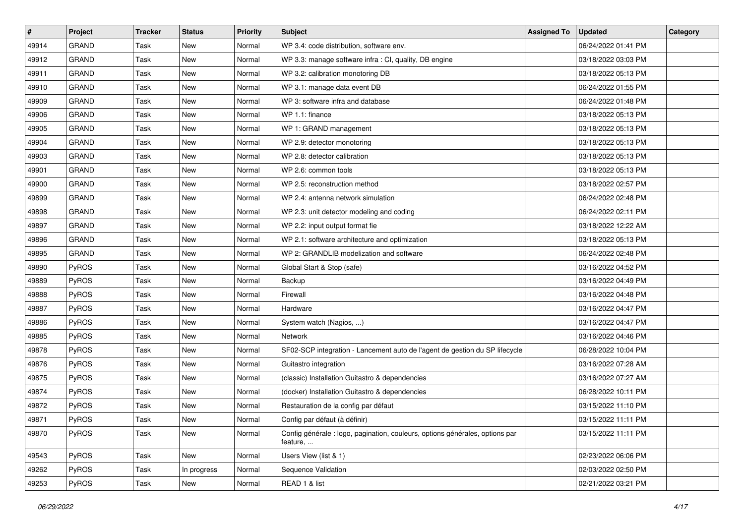| $\sharp$ | Project      | <b>Tracker</b> | <b>Status</b> | Priority | <b>Subject</b>                                                                           | <b>Assigned To</b> | <b>Updated</b>      | Category |
|----------|--------------|----------------|---------------|----------|------------------------------------------------------------------------------------------|--------------------|---------------------|----------|
| 49914    | <b>GRAND</b> | Task           | New           | Normal   | WP 3.4: code distribution, software env.                                                 |                    | 06/24/2022 01:41 PM |          |
| 49912    | GRAND        | Task           | New           | Normal   | WP 3.3: manage software infra : CI, quality, DB engine                                   |                    | 03/18/2022 03:03 PM |          |
| 49911    | <b>GRAND</b> | Task           | New           | Normal   | WP 3.2: calibration monotoring DB                                                        |                    | 03/18/2022 05:13 PM |          |
| 49910    | <b>GRAND</b> | Task           | New           | Normal   | WP 3.1: manage data event DB                                                             |                    | 06/24/2022 01:55 PM |          |
| 49909    | <b>GRAND</b> | Task           | New           | Normal   | WP 3: software infra and database                                                        |                    | 06/24/2022 01:48 PM |          |
| 49906    | <b>GRAND</b> | Task           | New           | Normal   | WP 1.1: finance                                                                          |                    | 03/18/2022 05:13 PM |          |
| 49905    | GRAND        | Task           | <b>New</b>    | Normal   | WP 1: GRAND management                                                                   |                    | 03/18/2022 05:13 PM |          |
| 49904    | <b>GRAND</b> | Task           | New           | Normal   | WP 2.9: detector monotoring                                                              |                    | 03/18/2022 05:13 PM |          |
| 49903    | <b>GRAND</b> | Task           | New           | Normal   | WP 2.8: detector calibration                                                             |                    | 03/18/2022 05:13 PM |          |
| 49901    | <b>GRAND</b> | Task           | New           | Normal   | WP 2.6: common tools                                                                     |                    | 03/18/2022 05:13 PM |          |
| 49900    | GRAND        | Task           | New           | Normal   | WP 2.5: reconstruction method                                                            |                    | 03/18/2022 02:57 PM |          |
| 49899    | <b>GRAND</b> | Task           | New           | Normal   | WP 2.4: antenna network simulation                                                       |                    | 06/24/2022 02:48 PM |          |
| 49898    | <b>GRAND</b> | Task           | New           | Normal   | WP 2.3: unit detector modeling and coding                                                |                    | 06/24/2022 02:11 PM |          |
| 49897    | GRAND        | Task           | New           | Normal   | WP 2.2: input output format fie                                                          |                    | 03/18/2022 12:22 AM |          |
| 49896    | GRAND        | Task           | New           | Normal   | WP 2.1: software architecture and optimization                                           |                    | 03/18/2022 05:13 PM |          |
| 49895    | GRAND        | Task           | New           | Normal   | WP 2: GRANDLIB modelization and software                                                 |                    | 06/24/2022 02:48 PM |          |
| 49890    | PyROS        | Task           | New           | Normal   | Global Start & Stop (safe)                                                               |                    | 03/16/2022 04:52 PM |          |
| 49889    | PyROS        | Task           | New           | Normal   | Backup                                                                                   |                    | 03/16/2022 04:49 PM |          |
| 49888    | PyROS        | Task           | New           | Normal   | Firewall                                                                                 |                    | 03/16/2022 04:48 PM |          |
| 49887    | PyROS        | Task           | New           | Normal   | Hardware                                                                                 |                    | 03/16/2022 04:47 PM |          |
| 49886    | PyROS        | Task           | New           | Normal   | System watch (Nagios, )                                                                  |                    | 03/16/2022 04:47 PM |          |
| 49885    | PyROS        | Task           | New           | Normal   | Network                                                                                  |                    | 03/16/2022 04:46 PM |          |
| 49878    | PyROS        | Task           | New           | Normal   | SF02-SCP integration - Lancement auto de l'agent de gestion du SP lifecycle              |                    | 06/28/2022 10:04 PM |          |
| 49876    | PyROS        | Task           | New           | Normal   | Guitastro integration                                                                    |                    | 03/16/2022 07:28 AM |          |
| 49875    | PyROS        | Task           | New           | Normal   | (classic) Installation Guitastro & dependencies                                          |                    | 03/16/2022 07:27 AM |          |
| 49874    | PyROS        | Task           | New           | Normal   | (docker) Installation Guitastro & dependencies                                           |                    | 06/28/2022 10:11 PM |          |
| 49872    | PyROS        | Task           | New           | Normal   | Restauration de la config par défaut                                                     |                    | 03/15/2022 11:10 PM |          |
| 49871    | PyROS        | Task           | New           | Normal   | Config par défaut (à définir)                                                            |                    | 03/15/2022 11:11 PM |          |
| 49870    | PyROS        | Task           | New           | Normal   | Config générale : logo, pagination, couleurs, options générales, options par<br>feature, |                    | 03/15/2022 11:11 PM |          |
| 49543    | PyROS        | Task           | New           | Normal   | Users View (list & 1)                                                                    |                    | 02/23/2022 06:06 PM |          |
| 49262    | PyROS        | Task           | In progress   | Normal   | Sequence Validation                                                                      |                    | 02/03/2022 02:50 PM |          |
| 49253    | PyROS        | Task           | New           | Normal   | READ 1 & list                                                                            |                    | 02/21/2022 03:21 PM |          |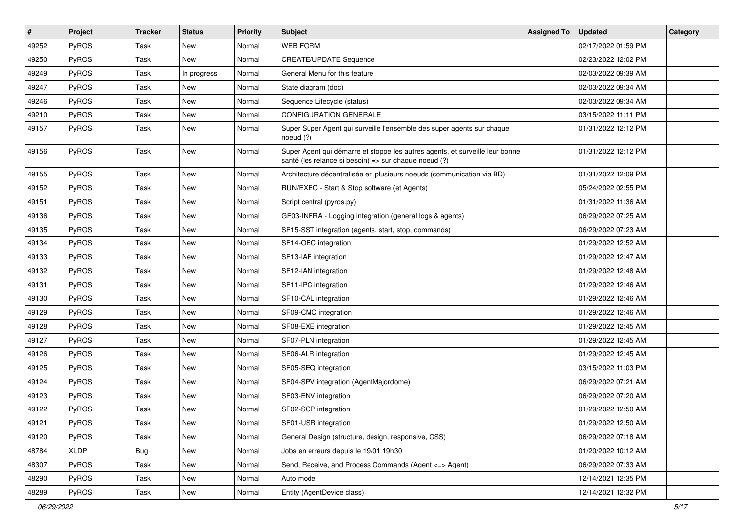| $\vert$ # | Project      | <b>Tracker</b> | <b>Status</b> | Priority | <b>Subject</b>                                                                                                                        | <b>Assigned To</b> | <b>Updated</b>      | Category |
|-----------|--------------|----------------|---------------|----------|---------------------------------------------------------------------------------------------------------------------------------------|--------------------|---------------------|----------|
| 49252     | PyROS        | Task           | New           | Normal   | <b>WEB FORM</b>                                                                                                                       |                    | 02/17/2022 01:59 PM |          |
| 49250     | PyROS        | Task           | New           | Normal   | <b>CREATE/UPDATE Sequence</b>                                                                                                         |                    | 02/23/2022 12:02 PM |          |
| 49249     | <b>PyROS</b> | Task           | In progress   | Normal   | General Menu for this feature                                                                                                         |                    | 02/03/2022 09:39 AM |          |
| 49247     | PyROS        | Task           | New           | Normal   | State diagram (doc)                                                                                                                   |                    | 02/03/2022 09:34 AM |          |
| 49246     | PyROS        | <b>Task</b>    | New           | Normal   | Sequence Lifecycle (status)                                                                                                           |                    | 02/03/2022 09:34 AM |          |
| 49210     | PyROS        | Task           | New           | Normal   | <b>CONFIGURATION GENERALE</b>                                                                                                         |                    | 03/15/2022 11:11 PM |          |
| 49157     | PyROS        | Task           | <b>New</b>    | Normal   | Super Super Agent qui surveille l'ensemble des super agents sur chaque<br>noeud $(?)$                                                 |                    | 01/31/2022 12:12 PM |          |
| 49156     | PyROS        | Task           | New           | Normal   | Super Agent qui démarre et stoppe les autres agents, et surveille leur bonne<br>santé (les relance si besoin) => sur chaque noeud (?) |                    | 01/31/2022 12:12 PM |          |
| 49155     | PyROS        | <b>Task</b>    | <b>New</b>    | Normal   | Architecture décentralisée en plusieurs noeuds (communication via BD)                                                                 |                    | 01/31/2022 12:09 PM |          |
| 49152     | PyROS        | Task           | New           | Normal   | RUN/EXEC - Start & Stop software (et Agents)                                                                                          |                    | 05/24/2022 02:55 PM |          |
| 49151     | PyROS        | <b>Task</b>    | <b>New</b>    | Normal   | Script central (pyros.py)                                                                                                             |                    | 01/31/2022 11:36 AM |          |
| 49136     | PyROS        | Task           | New           | Normal   | GF03-INFRA - Logging integration (general logs & agents)                                                                              |                    | 06/29/2022 07:25 AM |          |
| 49135     | PyROS        | <b>Task</b>    | <b>New</b>    | Normal   | SF15-SST integration (agents, start, stop, commands)                                                                                  |                    | 06/29/2022 07:23 AM |          |
| 49134     | PyROS        | Task           | New           | Normal   | SF14-OBC integration                                                                                                                  |                    | 01/29/2022 12:52 AM |          |
| 49133     | PyROS        | <b>Task</b>    | New           | Normal   | SF13-IAF integration                                                                                                                  |                    | 01/29/2022 12:47 AM |          |
| 49132     | PyROS        | <b>Task</b>    | New           | Normal   | SF12-IAN integration                                                                                                                  |                    | 01/29/2022 12:48 AM |          |
| 49131     | PyROS        | <b>Task</b>    | New           | Normal   | SF11-IPC integration                                                                                                                  |                    | 01/29/2022 12:46 AM |          |
| 49130     | PyROS        | <b>Task</b>    | <b>New</b>    | Normal   | SF10-CAL integration                                                                                                                  |                    | 01/29/2022 12:46 AM |          |
| 49129     | PyROS        | <b>Task</b>    | New           | Normal   | SF09-CMC integration                                                                                                                  |                    | 01/29/2022 12:46 AM |          |
| 49128     | PyROS        | <b>Task</b>    | New           | Normal   | SF08-EXE integration                                                                                                                  |                    | 01/29/2022 12:45 AM |          |
| 49127     | PyROS        | Task           | New           | Normal   | SF07-PLN integration                                                                                                                  |                    | 01/29/2022 12:45 AM |          |
| 49126     | PyROS        | <b>Task</b>    | New           | Normal   | SF06-ALR integration                                                                                                                  |                    | 01/29/2022 12:45 AM |          |
| 49125     | PyROS        | Task           | New           | Normal   | SF05-SEQ integration                                                                                                                  |                    | 03/15/2022 11:03 PM |          |
| 49124     | PyROS        | <b>Task</b>    | New           | Normal   | SF04-SPV integration (AgentMajordome)                                                                                                 |                    | 06/29/2022 07:21 AM |          |
| 49123     | PyROS        | <b>Task</b>    | New           | Normal   | SF03-ENV integration                                                                                                                  |                    | 06/29/2022 07:20 AM |          |
| 49122     | PyROS        | Task           | New           | Normal   | SF02-SCP integration                                                                                                                  |                    | 01/29/2022 12:50 AM |          |
| 49121     | PyROS        | Task           | New           | Normal   | SF01-USR integration                                                                                                                  |                    | 01/29/2022 12:50 AM |          |
| 49120     | PyROS        | Task           | New           | Normal   | General Design (structure, design, responsive, CSS)                                                                                   |                    | 06/29/2022 07:18 AM |          |
| 48784     | <b>XLDP</b>  | <b>Bug</b>     | New           | Normal   | Jobs en erreurs depuis le 19/01 19h30                                                                                                 |                    | 01/20/2022 10:12 AM |          |
| 48307     | PyROS        | Task           | New           | Normal   | Send, Receive, and Process Commands (Agent <= > Agent)                                                                                |                    | 06/29/2022 07:33 AM |          |
| 48290     | PyROS        | Task           | New           | Normal   | Auto mode                                                                                                                             |                    | 12/14/2021 12:35 PM |          |
| 48289     | PyROS        | Task           | New           | Normal   | Entity (AgentDevice class)                                                                                                            |                    | 12/14/2021 12:32 PM |          |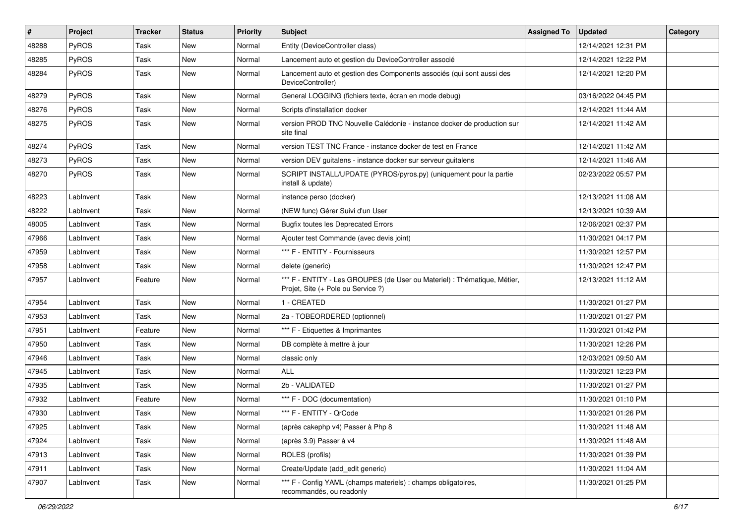| $\sharp$ | Project   | <b>Tracker</b> | <b>Status</b> | Priority | <b>Subject</b>                                                                                                 | <b>Assigned To</b> | Updated             | Category |
|----------|-----------|----------------|---------------|----------|----------------------------------------------------------------------------------------------------------------|--------------------|---------------------|----------|
| 48288    | PyROS     | Task           | New           | Normal   | Entity (DeviceController class)                                                                                |                    | 12/14/2021 12:31 PM |          |
| 48285    | PyROS     | Task           | New           | Normal   | Lancement auto et gestion du DeviceController associé                                                          |                    | 12/14/2021 12:22 PM |          |
| 48284    | PyROS     | Task           | New           | Normal   | Lancement auto et gestion des Components associés (qui sont aussi des<br>DeviceController)                     |                    | 12/14/2021 12:20 PM |          |
| 48279    | PyROS     | Task           | New           | Normal   | General LOGGING (fichiers texte, écran en mode debug)                                                          |                    | 03/16/2022 04:45 PM |          |
| 48276    | PyROS     | Task           | New           | Normal   | Scripts d'installation docker                                                                                  |                    | 12/14/2021 11:44 AM |          |
| 48275    | PyROS     | Task           | New           | Normal   | version PROD TNC Nouvelle Calédonie - instance docker de production sur<br>site final                          |                    | 12/14/2021 11:42 AM |          |
| 48274    | PyROS     | Task           | New           | Normal   | version TEST TNC France - instance docker de test en France                                                    |                    | 12/14/2021 11:42 AM |          |
| 48273    | PyROS     | Task           | New           | Normal   | version DEV guitalens - instance docker sur serveur guitalens                                                  |                    | 12/14/2021 11:46 AM |          |
| 48270    | PyROS     | Task           | New           | Normal   | SCRIPT INSTALL/UPDATE (PYROS/pyros.py) (uniquement pour la partie<br>install & update)                         |                    | 02/23/2022 05:57 PM |          |
| 48223    | LabInvent | Task           | <b>New</b>    | Normal   | instance perso (docker)                                                                                        |                    | 12/13/2021 11:08 AM |          |
| 48222    | LabInvent | Task           | New           | Normal   | (NEW func) Gérer Suivi d'un User                                                                               |                    | 12/13/2021 10:39 AM |          |
| 48005    | LabInvent | Task           | New           | Normal   | <b>Bugfix toutes les Deprecated Errors</b>                                                                     |                    | 12/06/2021 02:37 PM |          |
| 47966    | LabInvent | Task           | New           | Normal   | Ajouter test Commande (avec devis joint)                                                                       |                    | 11/30/2021 04:17 PM |          |
| 47959    | LabInvent | Task           | New           | Normal   | *** F - ENTITY - Fournisseurs                                                                                  |                    | 11/30/2021 12:57 PM |          |
| 47958    | LabInvent | Task           | New           | Normal   | delete (generic)                                                                                               |                    | 11/30/2021 12:47 PM |          |
| 47957    | LabInvent | Feature        | New           | Normal   | *** F - ENTITY - Les GROUPES (de User ou Materiel) : Thématique, Métier,<br>Projet, Site (+ Pole ou Service ?) |                    | 12/13/2021 11:12 AM |          |
| 47954    | LabInvent | Task           | <b>New</b>    | Normal   | 1 - CREATED                                                                                                    |                    | 11/30/2021 01:27 PM |          |
| 47953    | LabInvent | Task           | New           | Normal   | 2a - TOBEORDERED (optionnel)                                                                                   |                    | 11/30/2021 01:27 PM |          |
| 47951    | LabInvent | Feature        | <b>New</b>    | Normal   | *** F - Etiquettes & Imprimantes                                                                               |                    | 11/30/2021 01:42 PM |          |
| 47950    | LabInvent | Task           | New           | Normal   | DB complète à mettre à jour                                                                                    |                    | 11/30/2021 12:26 PM |          |
| 47946    | LabInvent | Task           | New           | Normal   | classic only                                                                                                   |                    | 12/03/2021 09:50 AM |          |
| 47945    | LabInvent | Task           | New           | Normal   | <b>ALL</b>                                                                                                     |                    | 11/30/2021 12:23 PM |          |
| 47935    | LabInvent | Task           | New           | Normal   | 2b - VALIDATED                                                                                                 |                    | 11/30/2021 01:27 PM |          |
| 47932    | LabInvent | Feature        | New           | Normal   | *** F - DOC (documentation)                                                                                    |                    | 11/30/2021 01:10 PM |          |
| 47930    | LabInvent | Task           | New           | Normal   | *** F - ENTITY - QrCode                                                                                        |                    | 11/30/2021 01:26 PM |          |
| 47925    | LabInvent | Task           | New           | Normal   | (après cakephp v4) Passer à Php 8                                                                              |                    | 11/30/2021 11:48 AM |          |
| 47924    | LabInvent | Task           | New           | Normal   | (après 3.9) Passer à v4                                                                                        |                    | 11/30/2021 11:48 AM |          |
| 47913    | LabInvent | Task           | New           | Normal   | ROLES (profils)                                                                                                |                    | 11/30/2021 01:39 PM |          |
| 47911    | LabInvent | Task           | New           | Normal   | Create/Update (add_edit generic)                                                                               |                    | 11/30/2021 11:04 AM |          |
| 47907    | LabInvent | Task           | New           | Normal   | *** F - Config YAML (champs materiels) : champs obligatoires,<br>recommandés, ou readonly                      |                    | 11/30/2021 01:25 PM |          |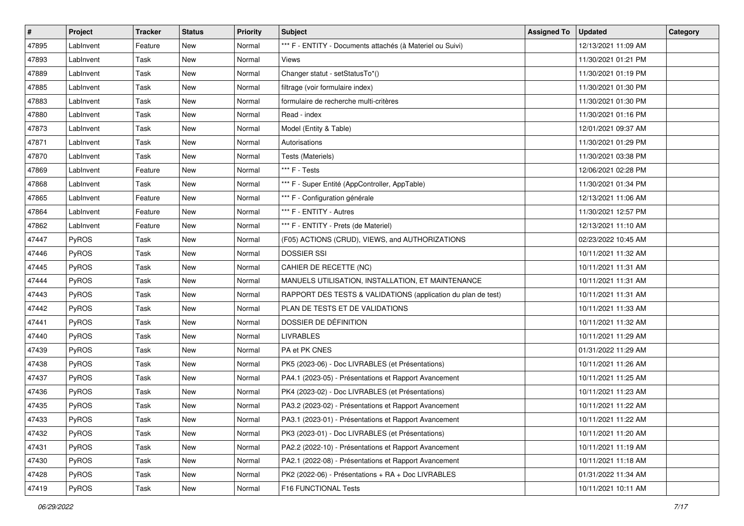| #     | Project      | <b>Tracker</b> | <b>Status</b> | <b>Priority</b> | <b>Subject</b>                                                | <b>Assigned To</b> | <b>Updated</b>      | Category |
|-------|--------------|----------------|---------------|-----------------|---------------------------------------------------------------|--------------------|---------------------|----------|
| 47895 | LabInvent    | Feature        | New           | Normal          | *** F - ENTITY - Documents attachés (à Materiel ou Suivi)     |                    | 12/13/2021 11:09 AM |          |
| 47893 | LabInvent    | Task           | New           | Normal          | Views                                                         |                    | 11/30/2021 01:21 PM |          |
| 47889 | LabInvent    | Task           | New           | Normal          | Changer statut - setStatusTo*()                               |                    | 11/30/2021 01:19 PM |          |
| 47885 | LabInvent    | Task           | New           | Normal          | filtrage (voir formulaire index)                              |                    | 11/30/2021 01:30 PM |          |
| 47883 | LabInvent    | Task           | New           | Normal          | formulaire de recherche multi-critères                        |                    | 11/30/2021 01:30 PM |          |
| 47880 | LabInvent    | Task           | New           | Normal          | Read - index                                                  |                    | 11/30/2021 01:16 PM |          |
| 47873 | LabInvent    | Task           | New           | Normal          | Model (Entity & Table)                                        |                    | 12/01/2021 09:37 AM |          |
| 47871 | LabInvent    | Task           | New           | Normal          | Autorisations                                                 |                    | 11/30/2021 01:29 PM |          |
| 47870 | LabInvent    | Task           | New           | Normal          | Tests (Materiels)                                             |                    | 11/30/2021 03:38 PM |          |
| 47869 | LabInvent    | Feature        | New           | Normal          | *** F - Tests                                                 |                    | 12/06/2021 02:28 PM |          |
| 47868 | LabInvent    | Task           | New           | Normal          | *** F - Super Entité (AppController, AppTable)                |                    | 11/30/2021 01:34 PM |          |
| 47865 | LabInvent    | Feature        | New           | Normal          | *** F - Configuration générale                                |                    | 12/13/2021 11:06 AM |          |
| 47864 | LabInvent    | Feature        | New           | Normal          | *** F - ENTITY - Autres                                       |                    | 11/30/2021 12:57 PM |          |
| 47862 | LabInvent    | Feature        | New           | Normal          | *** F - ENTITY - Prets (de Materiel)                          |                    | 12/13/2021 11:10 AM |          |
| 47447 | PyROS        | Task           | New           | Normal          | (F05) ACTIONS (CRUD), VIEWS, and AUTHORIZATIONS               |                    | 02/23/2022 10:45 AM |          |
| 47446 | PyROS        | Task           | New           | Normal          | <b>DOSSIER SSI</b>                                            |                    | 10/11/2021 11:32 AM |          |
| 47445 | PyROS        | Task           | New           | Normal          | CAHIER DE RECETTE (NC)                                        |                    | 10/11/2021 11:31 AM |          |
| 47444 | PyROS        | Task           | New           | Normal          | MANUELS UTILISATION, INSTALLATION, ET MAINTENANCE             |                    | 10/11/2021 11:31 AM |          |
| 47443 | PyROS        | Task           | New           | Normal          | RAPPORT DES TESTS & VALIDATIONS (application du plan de test) |                    | 10/11/2021 11:31 AM |          |
| 47442 | PyROS        | Task           | <b>New</b>    | Normal          | PLAN DE TESTS ET DE VALIDATIONS                               |                    | 10/11/2021 11:33 AM |          |
| 47441 | PyROS        | Task           | New           | Normal          | DOSSIER DE DÉFINITION                                         |                    | 10/11/2021 11:32 AM |          |
| 47440 | PyROS        | Task           | New           | Normal          | <b>LIVRABLES</b>                                              |                    | 10/11/2021 11:29 AM |          |
| 47439 | PyROS        | Task           | New           | Normal          | PA et PK CNES                                                 |                    | 01/31/2022 11:29 AM |          |
| 47438 | PyROS        | Task           | New           | Normal          | PK5 (2023-06) - Doc LIVRABLES (et Présentations)              |                    | 10/11/2021 11:26 AM |          |
| 47437 | PyROS        | Task           | New           | Normal          | PA4.1 (2023-05) - Présentations et Rapport Avancement         |                    | 10/11/2021 11:25 AM |          |
| 47436 | PyROS        | Task           | New           | Normal          | PK4 (2023-02) - Doc LIVRABLES (et Présentations)              |                    | 10/11/2021 11:23 AM |          |
| 47435 | PyROS        | Task           | New           | Normal          | PA3.2 (2023-02) - Présentations et Rapport Avancement         |                    | 10/11/2021 11:22 AM |          |
| 47433 | PyROS        | Task           | New           | Normal          | PA3.1 (2023-01) - Présentations et Rapport Avancement         |                    | 10/11/2021 11:22 AM |          |
| 47432 | <b>PyROS</b> | Task           | New           | Normal          | PK3 (2023-01) - Doc LIVRABLES (et Présentations)              |                    | 10/11/2021 11:20 AM |          |
| 47431 | PyROS        | Task           | New           | Normal          | PA2.2 (2022-10) - Présentations et Rapport Avancement         |                    | 10/11/2021 11:19 AM |          |
| 47430 | PyROS        | Task           | New           | Normal          | PA2.1 (2022-08) - Présentations et Rapport Avancement         |                    | 10/11/2021 11:18 AM |          |
| 47428 | PyROS        | Task           | New           | Normal          | PK2 (2022-06) - Présentations + RA + Doc LIVRABLES            |                    | 01/31/2022 11:34 AM |          |
| 47419 | PyROS        | Task           | New           | Normal          | F16 FUNCTIONAL Tests                                          |                    | 10/11/2021 10:11 AM |          |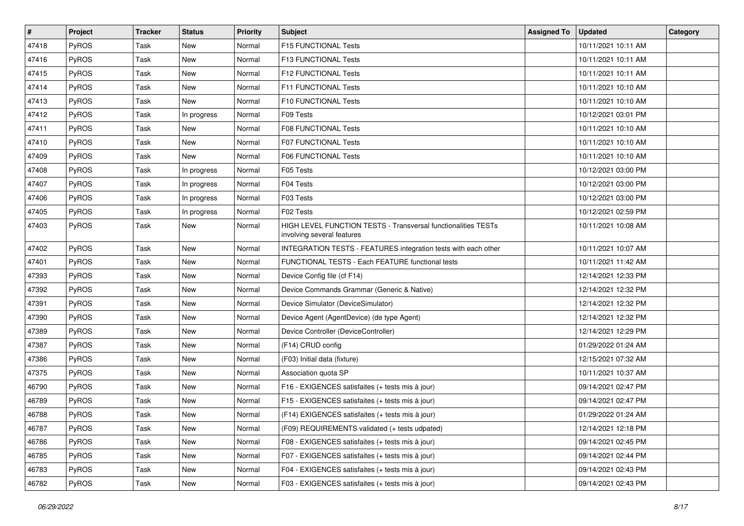| $\vert$ # | Project      | <b>Tracker</b> | <b>Status</b> | <b>Priority</b> | <b>Subject</b>                                                                              | <b>Assigned To</b> | <b>Updated</b>      | Category |
|-----------|--------------|----------------|---------------|-----------------|---------------------------------------------------------------------------------------------|--------------------|---------------------|----------|
| 47418     | <b>PyROS</b> | Task           | New           | Normal          | F15 FUNCTIONAL Tests                                                                        |                    | 10/11/2021 10:11 AM |          |
| 47416     | PyROS        | Task           | New           | Normal          | F13 FUNCTIONAL Tests                                                                        |                    | 10/11/2021 10:11 AM |          |
| 47415     | <b>PyROS</b> | Task           | New           | Normal          | F12 FUNCTIONAL Tests                                                                        |                    | 10/11/2021 10:11 AM |          |
| 47414     | PyROS        | Task           | New           | Normal          | F11 FUNCTIONAL Tests                                                                        |                    | 10/11/2021 10:10 AM |          |
| 47413     | PyROS        | Task           | <b>New</b>    | Normal          | F10 FUNCTIONAL Tests                                                                        |                    | 10/11/2021 10:10 AM |          |
| 47412     | <b>PyROS</b> | Task           | In progress   | Normal          | F09 Tests                                                                                   |                    | 10/12/2021 03:01 PM |          |
| 47411     | PyROS        | Task           | New           | Normal          | F08 FUNCTIONAL Tests                                                                        |                    | 10/11/2021 10:10 AM |          |
| 47410     | <b>PyROS</b> | Task           | New           | Normal          | F07 FUNCTIONAL Tests                                                                        |                    | 10/11/2021 10:10 AM |          |
| 47409     | <b>PyROS</b> | Task           | New           | Normal          | F06 FUNCTIONAL Tests                                                                        |                    | 10/11/2021 10:10 AM |          |
| 47408     | PyROS        | Task           | In progress   | Normal          | F05 Tests                                                                                   |                    | 10/12/2021 03:00 PM |          |
| 47407     | PyROS        | Task           | In progress   | Normal          | F04 Tests                                                                                   |                    | 10/12/2021 03:00 PM |          |
| 47406     | <b>PyROS</b> | Task           | In progress   | Normal          | F03 Tests                                                                                   |                    | 10/12/2021 03:00 PM |          |
| 47405     | PyROS        | Task           | In progress   | Normal          | F02 Tests                                                                                   |                    | 10/12/2021 02:59 PM |          |
| 47403     | PyROS        | Task           | New           | Normal          | HIGH LEVEL FUNCTION TESTS - Transversal functionalities TESTs<br>involving several features |                    | 10/11/2021 10:08 AM |          |
| 47402     | PyROS        | Task           | New           | Normal          | INTEGRATION TESTS - FEATURES integration tests with each other                              |                    | 10/11/2021 10:07 AM |          |
| 47401     | PyROS        | Task           | New           | Normal          | FUNCTIONAL TESTS - Each FEATURE functional tests                                            |                    | 10/11/2021 11:42 AM |          |
| 47393     | <b>PyROS</b> | Task           | New           | Normal          | Device Config file (cf F14)                                                                 |                    | 12/14/2021 12:33 PM |          |
| 47392     | <b>PyROS</b> | Task           | New           | Normal          | Device Commands Grammar (Generic & Native)                                                  |                    | 12/14/2021 12:32 PM |          |
| 47391     | <b>PyROS</b> | Task           | New           | Normal          | Device Simulator (DeviceSimulator)                                                          |                    | 12/14/2021 12:32 PM |          |
| 47390     | PyROS        | Task           | New           | Normal          | Device Agent (AgentDevice) (de type Agent)                                                  |                    | 12/14/2021 12:32 PM |          |
| 47389     | <b>PyROS</b> | Task           | New           | Normal          | Device Controller (DeviceController)                                                        |                    | 12/14/2021 12:29 PM |          |
| 47387     | PyROS        | Task           | New           | Normal          | (F14) CRUD config                                                                           |                    | 01/29/2022 01:24 AM |          |
| 47386     | <b>PyROS</b> | Task           | New           | Normal          | (F03) Initial data (fixture)                                                                |                    | 12/15/2021 07:32 AM |          |
| 47375     | PyROS        | Task           | New           | Normal          | Association quota SP                                                                        |                    | 10/11/2021 10:37 AM |          |
| 46790     | PyROS        | Task           | New           | Normal          | F16 - EXIGENCES satisfaites (+ tests mis à jour)                                            |                    | 09/14/2021 02:47 PM |          |
| 46789     | PyROS        | Task           | New           | Normal          | F15 - EXIGENCES satisfaites (+ tests mis à jour)                                            |                    | 09/14/2021 02:47 PM |          |
| 46788     | PyROS        | Task           | New           | Normal          | (F14) EXIGENCES satisfaites (+ tests mis à jour)                                            |                    | 01/29/2022 01:24 AM |          |
| 46787     | <b>PyROS</b> | Task           | New           | Normal          | (F09) REQUIREMENTS validated (+ tests udpated)                                              |                    | 12/14/2021 12:18 PM |          |
| 46786     | <b>PyROS</b> | Task           | New           | Normal          | F08 - EXIGENCES satisfaites (+ tests mis à jour)                                            |                    | 09/14/2021 02:45 PM |          |
| 46785     | PyROS        | Task           | New           | Normal          | F07 - EXIGENCES satisfaites (+ tests mis à jour)                                            |                    | 09/14/2021 02:44 PM |          |
| 46783     | <b>PyROS</b> | Task           | New           | Normal          | F04 - EXIGENCES satisfaites (+ tests mis à jour)                                            |                    | 09/14/2021 02:43 PM |          |
| 46782     | PyROS        | Task           | New           | Normal          | F03 - EXIGENCES satisfaites (+ tests mis à jour)                                            |                    | 09/14/2021 02:43 PM |          |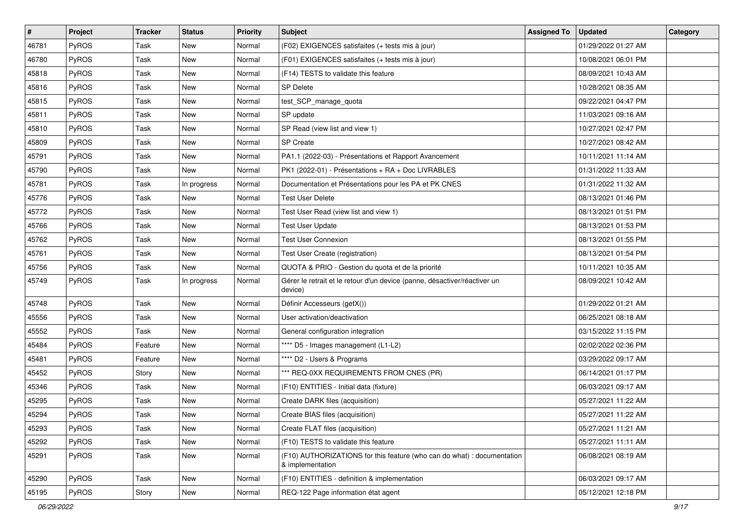| $\vert$ # | Project      | <b>Tracker</b> | <b>Status</b> | <b>Priority</b> | <b>Subject</b>                                                                              | <b>Assigned To</b> | <b>Updated</b>      | Category |
|-----------|--------------|----------------|---------------|-----------------|---------------------------------------------------------------------------------------------|--------------------|---------------------|----------|
| 46781     | PyROS        | Task           | New           | Normal          | (F02) EXIGENCES satisfaites (+ tests mis à jour)                                            |                    | 01/29/2022 01:27 AM |          |
| 46780     | PyROS        | Task           | New           | Normal          | (F01) EXIGENCES satisfaites (+ tests mis à jour)                                            |                    | 10/08/2021 06:01 PM |          |
| 45818     | PyROS        | Task           | New           | Normal          | (F14) TESTS to validate this feature                                                        |                    | 08/09/2021 10:43 AM |          |
| 45816     | PyROS        | Task           | New           | Normal          | <b>SP Delete</b>                                                                            |                    | 10/28/2021 08:35 AM |          |
| 45815     | PyROS        | Task           | New           | Normal          | test_SCP_manage_quota                                                                       |                    | 09/22/2021 04:47 PM |          |
| 45811     | PyROS        | Task           | New           | Normal          | SP update                                                                                   |                    | 11/03/2021 09:16 AM |          |
| 45810     | PyROS        | Task           | New           | Normal          | SP Read (view list and view 1)                                                              |                    | 10/27/2021 02:47 PM |          |
| 45809     | PyROS        | Task           | New           | Normal          | <b>SP Create</b>                                                                            |                    | 10/27/2021 08:42 AM |          |
| 45791     | PyROS        | Task           | New           | Normal          | PA1.1 (2022-03) - Présentations et Rapport Avancement                                       |                    | 10/11/2021 11:14 AM |          |
| 45790     | PyROS        | Task           | New           | Normal          | PK1 (2022-01) - Présentations + RA + Doc LIVRABLES                                          |                    | 01/31/2022 11:33 AM |          |
| 45781     | <b>PyROS</b> | Task           | In progress   | Normal          | Documentation et Présentations pour les PA et PK CNES                                       |                    | 01/31/2022 11:32 AM |          |
| 45776     | PyROS        | Task           | New           | Normal          | <b>Test User Delete</b>                                                                     |                    | 08/13/2021 01:46 PM |          |
| 45772     | PyROS        | Task           | New           | Normal          | Test User Read (view list and view 1)                                                       |                    | 08/13/2021 01:51 PM |          |
| 45766     | PyROS        | Task           | New           | Normal          | <b>Test User Update</b>                                                                     |                    | 08/13/2021 01:53 PM |          |
| 45762     | PyROS        | Task           | New           | Normal          | <b>Test User Connexion</b>                                                                  |                    | 08/13/2021 01:55 PM |          |
| 45761     | PyROS        | Task           | New           | Normal          | Test User Create (registration)                                                             |                    | 08/13/2021 01:54 PM |          |
| 45756     | PyROS        | Task           | New           | Normal          | QUOTA & PRIO - Gestion du quota et de la priorité                                           |                    | 10/11/2021 10:35 AM |          |
| 45749     | PyROS        | Task           | In progress   | Normal          | Gérer le retrait et le retour d'un device (panne, désactiver/réactiver un<br>device)        |                    | 08/09/2021 10:42 AM |          |
| 45748     | PyROS        | Task           | New           | Normal          | Définir Accesseurs (getX())                                                                 |                    | 01/29/2022 01:21 AM |          |
| 45556     | PyROS        | Task           | New           | Normal          | User activation/deactivation                                                                |                    | 06/25/2021 08:18 AM |          |
| 45552     | PyROS        | Task           | New           | Normal          | General configuration integration                                                           |                    | 03/15/2022 11:15 PM |          |
| 45484     | PyROS        | Feature        | New           | Normal          | **** D5 - Images management (L1-L2)                                                         |                    | 02/02/2022 02:36 PM |          |
| 45481     | PyROS        | Feature        | New           | Normal          | **** D2 - Users & Programs                                                                  |                    | 03/29/2022 09:17 AM |          |
| 45452     | PyROS        | Story          | New           | Normal          | *** REQ-0XX REQUIREMENTS FROM CNES (PR)                                                     |                    | 06/14/2021 01:17 PM |          |
| 45346     | PyROS        | Task           | New           | Normal          | (F10) ENTITIES - Initial data (fixture)                                                     |                    | 06/03/2021 09:17 AM |          |
| 45295     | PyROS        | Task           | New           | Normal          | Create DARK files (acquisition)                                                             |                    | 05/27/2021 11:22 AM |          |
| 45294     | PyROS        | Task           | New           | Normal          | Create BIAS files (acquisition)                                                             |                    | 05/27/2021 11:22 AM |          |
| 45293     | PyROS        | Task           | New           | Normal          | Create FLAT files (acquisition)                                                             |                    | 05/27/2021 11:21 AM |          |
| 45292     | <b>PyROS</b> | Task           | New           | Normal          | (F10) TESTS to validate this feature                                                        |                    | 05/27/2021 11:11 AM |          |
| 45291     | PyROS        | Task           | New           | Normal          | (F10) AUTHORIZATIONS for this feature (who can do what) : documentation<br>& implementation |                    | 06/08/2021 08:19 AM |          |
| 45290     | PyROS        | Task           | New           | Normal          | (F10) ENTITIES - definition & implementation                                                |                    | 06/03/2021 09:17 AM |          |
| 45195     | PyROS        | Story          | New           | Normal          | REQ-122 Page information état agent                                                         |                    | 05/12/2021 12:18 PM |          |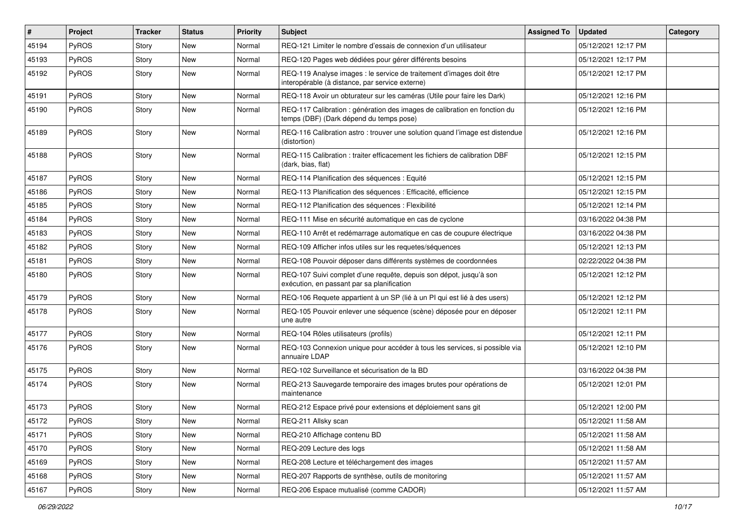| $\vert$ # | Project | <b>Tracker</b> | <b>Status</b> | <b>Priority</b> | <b>Subject</b>                                                                                                          | <b>Assigned To</b> | Updated             | Category |
|-----------|---------|----------------|---------------|-----------------|-------------------------------------------------------------------------------------------------------------------------|--------------------|---------------------|----------|
| 45194     | PyROS   | Story          | <b>New</b>    | Normal          | REQ-121 Limiter le nombre d'essais de connexion d'un utilisateur                                                        |                    | 05/12/2021 12:17 PM |          |
| 45193     | PyROS   | Story          | New           | Normal          | REQ-120 Pages web dédiées pour gérer différents besoins                                                                 |                    | 05/12/2021 12:17 PM |          |
| 45192     | PyROS   | Story          | New           | Normal          | REQ-119 Analyse images : le service de traitement d'images doit être<br>interopérable (à distance, par service externe) |                    | 05/12/2021 12:17 PM |          |
| 45191     | PyROS   | Story          | <b>New</b>    | Normal          | REQ-118 Avoir un obturateur sur les caméras (Utile pour faire les Dark)                                                 |                    | 05/12/2021 12:16 PM |          |
| 45190     | PyROS   | Story          | New           | Normal          | REQ-117 Calibration : génération des images de calibration en fonction du<br>temps (DBF) (Dark dépend du temps pose)    |                    | 05/12/2021 12:16 PM |          |
| 45189     | PyROS   | Story          | New           | Normal          | REQ-116 Calibration astro : trouver une solution quand l'image est distendue<br>(distortion)                            |                    | 05/12/2021 12:16 PM |          |
| 45188     | PyROS   | Story          | New           | Normal          | REQ-115 Calibration: traiter efficacement les fichiers de calibration DBF<br>(dark, bias, flat)                         |                    | 05/12/2021 12:15 PM |          |
| 45187     | PyROS   | Story          | New           | Normal          | REQ-114 Planification des séquences : Equité                                                                            |                    | 05/12/2021 12:15 PM |          |
| 45186     | PyROS   | Story          | New           | Normal          | REQ-113 Planification des séquences : Efficacité, efficience                                                            |                    | 05/12/2021 12:15 PM |          |
| 45185     | PyROS   | Story          | <b>New</b>    | Normal          | REQ-112 Planification des séquences : Flexibilité                                                                       |                    | 05/12/2021 12:14 PM |          |
| 45184     | PyROS   | Story          | New           | Normal          | REQ-111 Mise en sécurité automatique en cas de cyclone                                                                  |                    | 03/16/2022 04:38 PM |          |
| 45183     | PyROS   | Story          | New           | Normal          | REQ-110 Arrêt et redémarrage automatique en cas de coupure électrique                                                   |                    | 03/16/2022 04:38 PM |          |
| 45182     | PyROS   | Story          | <b>New</b>    | Normal          | REQ-109 Afficher infos utiles sur les requetes/séquences                                                                |                    | 05/12/2021 12:13 PM |          |
| 45181     | PyROS   | Story          | New           | Normal          | REQ-108 Pouvoir déposer dans différents systèmes de coordonnées                                                         |                    | 02/22/2022 04:38 PM |          |
| 45180     | PyROS   | Story          | New           | Normal          | REQ-107 Suivi complet d'une requête, depuis son dépot, jusqu'à son<br>exécution, en passant par sa planification        |                    | 05/12/2021 12:12 PM |          |
| 45179     | PyROS   | Story          | New           | Normal          | REQ-106 Requete appartient à un SP (lié à un PI qui est lié à des users)                                                |                    | 05/12/2021 12:12 PM |          |
| 45178     | PyROS   | Story          | New           | Normal          | REQ-105 Pouvoir enlever une séquence (scène) déposée pour en déposer<br>une autre                                       |                    | 05/12/2021 12:11 PM |          |
| 45177     | PyROS   | Story          | New           | Normal          | REQ-104 Rôles utilisateurs (profils)                                                                                    |                    | 05/12/2021 12:11 PM |          |
| 45176     | PyROS   | Story          | New           | Normal          | REQ-103 Connexion unique pour accéder à tous les services, si possible via<br>annuaire LDAP                             |                    | 05/12/2021 12:10 PM |          |
| 45175     | PyROS   | Story          | New           | Normal          | REQ-102 Surveillance et sécurisation de la BD                                                                           |                    | 03/16/2022 04:38 PM |          |
| 45174     | PyROS   | Story          | New           | Normal          | REQ-213 Sauvegarde temporaire des images brutes pour opérations de<br>maintenance                                       |                    | 05/12/2021 12:01 PM |          |
| 45173     | PyROS   | Story          | New           | Normal          | REQ-212 Espace privé pour extensions et déploiement sans git                                                            |                    | 05/12/2021 12:00 PM |          |
| 45172     | PyROS   | Story          | New           | Normal          | REQ-211 Allsky scan                                                                                                     |                    | 05/12/2021 11:58 AM |          |
| 45171     | PyROS   | Story          | New           | Normal          | REQ-210 Affichage contenu BD                                                                                            |                    | 05/12/2021 11:58 AM |          |
| 45170     | PyROS   | Story          | New           | Normal          | REQ-209 Lecture des logs                                                                                                |                    | 05/12/2021 11:58 AM |          |
| 45169     | PyROS   | Story          | New           | Normal          | REQ-208 Lecture et téléchargement des images                                                                            |                    | 05/12/2021 11:57 AM |          |
| 45168     | PyROS   | Story          | New           | Normal          | REQ-207 Rapports de synthèse, outils de monitoring                                                                      |                    | 05/12/2021 11:57 AM |          |
| 45167     | PyROS   | Story          | New           | Normal          | REQ-206 Espace mutualisé (comme CADOR)                                                                                  |                    | 05/12/2021 11:57 AM |          |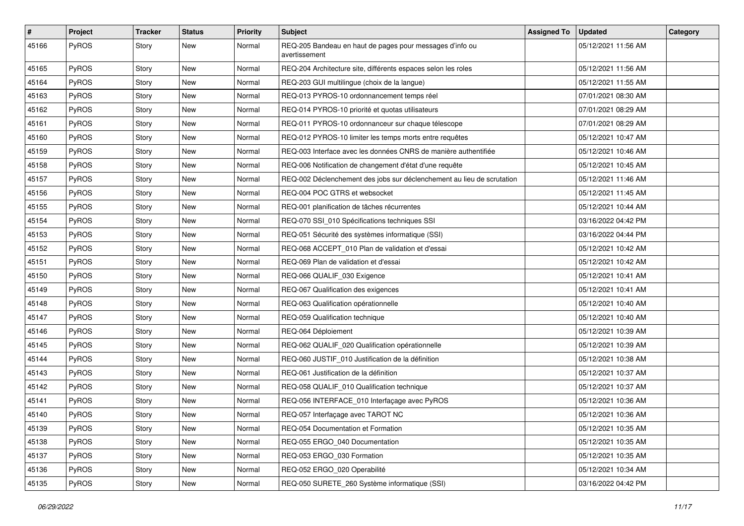| #     | Project      | <b>Tracker</b> | <b>Status</b> | Priority | <b>Subject</b>                                                            | <b>Assigned To</b> | <b>Updated</b>      | Category |
|-------|--------------|----------------|---------------|----------|---------------------------------------------------------------------------|--------------------|---------------------|----------|
| 45166 | PyROS        | Story          | New           | Normal   | REQ-205 Bandeau en haut de pages pour messages d'info ou<br>avertissement |                    | 05/12/2021 11:56 AM |          |
| 45165 | PyROS        | Story          | New           | Normal   | REQ-204 Architecture site, différents espaces selon les roles             |                    | 05/12/2021 11:56 AM |          |
| 45164 | PyROS        | Story          | New           | Normal   | REQ-203 GUI multilingue (choix de la langue)                              |                    | 05/12/2021 11:55 AM |          |
| 45163 | PyROS        | Story          | New           | Normal   | REQ-013 PYROS-10 ordonnancement temps réel                                |                    | 07/01/2021 08:30 AM |          |
| 45162 | PyROS        | Story          | New           | Normal   | REQ-014 PYROS-10 priorité et quotas utilisateurs                          |                    | 07/01/2021 08:29 AM |          |
| 45161 | PyROS        | Story          | New           | Normal   | REQ-011 PYROS-10 ordonnanceur sur chaque télescope                        |                    | 07/01/2021 08:29 AM |          |
| 45160 | PyROS        | Story          | New           | Normal   | REQ-012 PYROS-10 limiter les temps morts entre requêtes                   |                    | 05/12/2021 10:47 AM |          |
| 45159 | PyROS        | Story          | New           | Normal   | REQ-003 Interface avec les données CNRS de manière authentifiée           |                    | 05/12/2021 10:46 AM |          |
| 45158 | PyROS        | Story          | New           | Normal   | REQ-006 Notification de changement d'état d'une requête                   |                    | 05/12/2021 10:45 AM |          |
| 45157 | <b>PyROS</b> | Story          | New           | Normal   | REQ-002 Déclenchement des jobs sur déclenchement au lieu de scrutation    |                    | 05/12/2021 11:46 AM |          |
| 45156 | PyROS        | Story          | New           | Normal   | REQ-004 POC GTRS et websocket                                             |                    | 05/12/2021 11:45 AM |          |
| 45155 | PyROS        | Story          | New           | Normal   | REQ-001 planification de tâches récurrentes                               |                    | 05/12/2021 10:44 AM |          |
| 45154 | PyROS        | Story          | New           | Normal   | REQ-070 SSI_010 Spécifications techniques SSI                             |                    | 03/16/2022 04:42 PM |          |
| 45153 | PyROS        | Story          | New           | Normal   | REQ-051 Sécurité des systèmes informatique (SSI)                          |                    | 03/16/2022 04:44 PM |          |
| 45152 | PyROS        | Story          | New           | Normal   | REQ-068 ACCEPT_010 Plan de validation et d'essai                          |                    | 05/12/2021 10:42 AM |          |
| 45151 | PyROS        | Story          | New           | Normal   | REQ-069 Plan de validation et d'essai                                     |                    | 05/12/2021 10:42 AM |          |
| 45150 | PyROS        | Story          | New           | Normal   | REQ-066 QUALIF_030 Exigence                                               |                    | 05/12/2021 10:41 AM |          |
| 45149 | PyROS        | Story          | New           | Normal   | REQ-067 Qualification des exigences                                       |                    | 05/12/2021 10:41 AM |          |
| 45148 | PyROS        | Story          | New           | Normal   | REQ-063 Qualification opérationnelle                                      |                    | 05/12/2021 10:40 AM |          |
| 45147 | PyROS        | Story          | New           | Normal   | REQ-059 Qualification technique                                           |                    | 05/12/2021 10:40 AM |          |
| 45146 | PyROS        | Story          | New           | Normal   | REQ-064 Déploiement                                                       |                    | 05/12/2021 10:39 AM |          |
| 45145 | PyROS        | Story          | New           | Normal   | REQ-062 QUALIF_020 Qualification opérationnelle                           |                    | 05/12/2021 10:39 AM |          |
| 45144 | PyROS        | Story          | New           | Normal   | REQ-060 JUSTIF_010 Justification de la définition                         |                    | 05/12/2021 10:38 AM |          |
| 45143 | PyROS        | Story          | New           | Normal   | REQ-061 Justification de la définition                                    |                    | 05/12/2021 10:37 AM |          |
| 45142 | PyROS        | Story          | New           | Normal   | REQ-058 QUALIF_010 Qualification technique                                |                    | 05/12/2021 10:37 AM |          |
| 45141 | PyROS        | Story          | New           | Normal   | REQ-056 INTERFACE 010 Interfaçage avec PyROS                              |                    | 05/12/2021 10:36 AM |          |
| 45140 | PyROS        | Story          | New           | Normal   | REQ-057 Interfaçage avec TAROT NC                                         |                    | 05/12/2021 10:36 AM |          |
| 45139 | PyROS        | Story          | New           | Normal   | REQ-054 Documentation et Formation                                        |                    | 05/12/2021 10:35 AM |          |
| 45138 | PyROS        | Story          | New           | Normal   | REQ-055 ERGO_040 Documentation                                            |                    | 05/12/2021 10:35 AM |          |
| 45137 | PyROS        | Story          | New           | Normal   | REQ-053 ERGO_030 Formation                                                |                    | 05/12/2021 10:35 AM |          |
| 45136 | PyROS        | Story          | New           | Normal   | REQ-052 ERGO_020 Operabilité                                              |                    | 05/12/2021 10:34 AM |          |
| 45135 | PyROS        | Story          | New           | Normal   | REQ-050 SURETE_260 Système informatique (SSI)                             |                    | 03/16/2022 04:42 PM |          |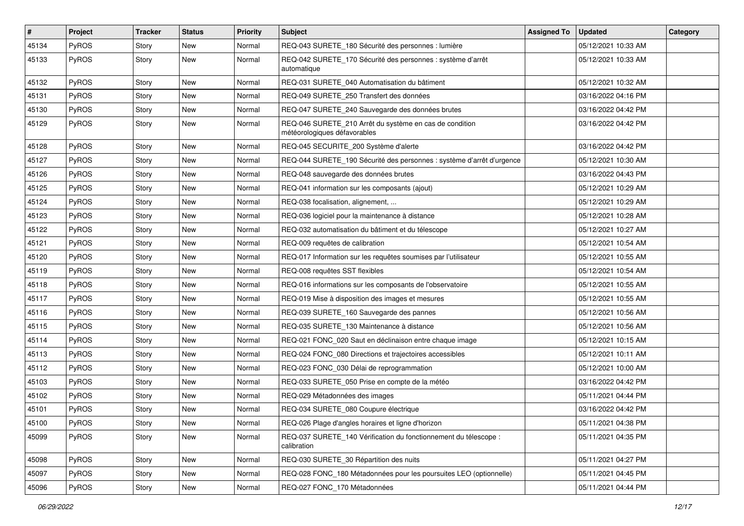| #     | Project | <b>Tracker</b> | <b>Status</b> | Priority | <b>Subject</b>                                                                          | <b>Assigned To</b> | Updated             | Category |
|-------|---------|----------------|---------------|----------|-----------------------------------------------------------------------------------------|--------------------|---------------------|----------|
| 45134 | PyROS   | Story          | New           | Normal   | REQ-043 SURETE_180 Sécurité des personnes : lumière                                     |                    | 05/12/2021 10:33 AM |          |
| 45133 | PyROS   | Story          | New           | Normal   | REQ-042 SURETE_170 Sécurité des personnes : système d'arrêt<br>automatique              |                    | 05/12/2021 10:33 AM |          |
| 45132 | PyROS   | Story          | New           | Normal   | REQ-031 SURETE_040 Automatisation du bâtiment                                           |                    | 05/12/2021 10:32 AM |          |
| 45131 | PyROS   | Story          | New           | Normal   | REQ-049 SURETE_250 Transfert des données                                                |                    | 03/16/2022 04:16 PM |          |
| 45130 | PyROS   | Story          | New           | Normal   | REQ-047 SURETE_240 Sauvegarde des données brutes                                        |                    | 03/16/2022 04:42 PM |          |
| 45129 | PyROS   | Story          | New           | Normal   | REQ-046 SURETE_210 Arrêt du système en cas de condition<br>météorologiques défavorables |                    | 03/16/2022 04:42 PM |          |
| 45128 | PyROS   | Story          | New           | Normal   | REQ-045 SECURITE_200 Système d'alerte                                                   |                    | 03/16/2022 04:42 PM |          |
| 45127 | PyROS   | Story          | New           | Normal   | REQ-044 SURETE_190 Sécurité des personnes : système d'arrêt d'urgence                   |                    | 05/12/2021 10:30 AM |          |
| 45126 | PyROS   | Story          | New           | Normal   | REQ-048 sauvegarde des données brutes                                                   |                    | 03/16/2022 04:43 PM |          |
| 45125 | PyROS   | Story          | New           | Normal   | REQ-041 information sur les composants (ajout)                                          |                    | 05/12/2021 10:29 AM |          |
| 45124 | PyROS   | Story          | New           | Normal   | REQ-038 focalisation, alignement,                                                       |                    | 05/12/2021 10:29 AM |          |
| 45123 | PyROS   | Story          | New           | Normal   | REQ-036 logiciel pour la maintenance à distance                                         |                    | 05/12/2021 10:28 AM |          |
| 45122 | PyROS   | Story          | New           | Normal   | REQ-032 automatisation du bâtiment et du télescope                                      |                    | 05/12/2021 10:27 AM |          |
| 45121 | PyROS   | Story          | New           | Normal   | REQ-009 requêtes de calibration                                                         |                    | 05/12/2021 10:54 AM |          |
| 45120 | PyROS   | Story          | New           | Normal   | REQ-017 Information sur les requêtes soumises par l'utilisateur                         |                    | 05/12/2021 10:55 AM |          |
| 45119 | PyROS   | Story          | New           | Normal   | REQ-008 requêtes SST flexibles                                                          |                    | 05/12/2021 10:54 AM |          |
| 45118 | PyROS   | Story          | New           | Normal   | REQ-016 informations sur les composants de l'observatoire                               |                    | 05/12/2021 10:55 AM |          |
| 45117 | PyROS   | Story          | New           | Normal   | REQ-019 Mise à disposition des images et mesures                                        |                    | 05/12/2021 10:55 AM |          |
| 45116 | PyROS   | Story          | New           | Normal   | REQ-039 SURETE_160 Sauvegarde des pannes                                                |                    | 05/12/2021 10:56 AM |          |
| 45115 | PyROS   | Story          | New           | Normal   | REQ-035 SURETE_130 Maintenance à distance                                               |                    | 05/12/2021 10:56 AM |          |
| 45114 | PyROS   | Story          | New           | Normal   | REQ-021 FONC_020 Saut en déclinaison entre chaque image                                 |                    | 05/12/2021 10:15 AM |          |
| 45113 | PyROS   | Story          | New           | Normal   | REQ-024 FONC 080 Directions et trajectoires accessibles                                 |                    | 05/12/2021 10:11 AM |          |
| 45112 | PyROS   | Story          | New           | Normal   | REQ-023 FONC_030 Délai de reprogrammation                                               |                    | 05/12/2021 10:00 AM |          |
| 45103 | PyROS   | Story          | New           | Normal   | REQ-033 SURETE 050 Prise en compte de la météo                                          |                    | 03/16/2022 04:42 PM |          |
| 45102 | PyROS   | Story          | New           | Normal   | REQ-029 Métadonnées des images                                                          |                    | 05/11/2021 04:44 PM |          |
| 45101 | PyROS   | Story          | New           | Normal   | REQ-034 SURETE_080 Coupure électrique                                                   |                    | 03/16/2022 04:42 PM |          |
| 45100 | PyROS   | Story          | New           | Normal   | REQ-026 Plage d'angles horaires et ligne d'horizon                                      |                    | 05/11/2021 04:38 PM |          |
| 45099 | PyROS   | Story          | New           | Normal   | REQ-037 SURETE 140 Vérification du fonctionnement du télescope :<br>calibration         |                    | 05/11/2021 04:35 PM |          |
| 45098 | PyROS   | Story          | New           | Normal   | REQ-030 SURETE 30 Répartition des nuits                                                 |                    | 05/11/2021 04:27 PM |          |
| 45097 | PyROS   | Story          | New           | Normal   | REQ-028 FONC_180 Métadonnées pour les poursuites LEO (optionnelle)                      |                    | 05/11/2021 04:45 PM |          |
| 45096 | PyROS   | Story          | New           | Normal   | REQ-027 FONC_170 Métadonnées                                                            |                    | 05/11/2021 04:44 PM |          |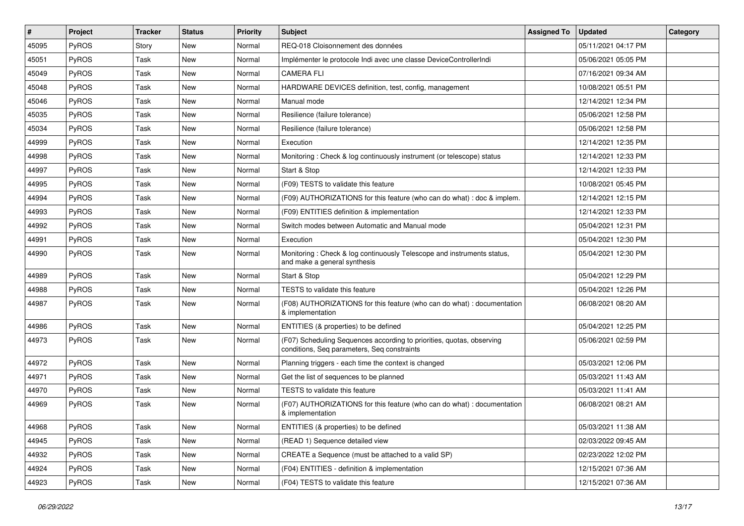| #     | Project      | <b>Tracker</b> | <b>Status</b> | <b>Priority</b> | <b>Subject</b>                                                                                                       | <b>Assigned To</b> | <b>Updated</b>      | Category |
|-------|--------------|----------------|---------------|-----------------|----------------------------------------------------------------------------------------------------------------------|--------------------|---------------------|----------|
| 45095 | PyROS        | Story          | <b>New</b>    | Normal          | REQ-018 Cloisonnement des données                                                                                    |                    | 05/11/2021 04:17 PM |          |
| 45051 | PyROS        | Task           | New           | Normal          | Implémenter le protocole Indi avec une classe DeviceControllerIndi                                                   |                    | 05/06/2021 05:05 PM |          |
| 45049 | PyROS        | Task           | <b>New</b>    | Normal          | <b>CAMERA FLI</b>                                                                                                    |                    | 07/16/2021 09:34 AM |          |
| 45048 | PyROS        | Task           | New           | Normal          | HARDWARE DEVICES definition, test, config, management                                                                |                    | 10/08/2021 05:51 PM |          |
| 45046 | PyROS        | Task           | <b>New</b>    | Normal          | Manual mode                                                                                                          |                    | 12/14/2021 12:34 PM |          |
| 45035 | PyROS        | Task           | New           | Normal          | Resilience (failure tolerance)                                                                                       |                    | 05/06/2021 12:58 PM |          |
| 45034 | PyROS        | Task           | <b>New</b>    | Normal          | Resilience (failure tolerance)                                                                                       |                    | 05/06/2021 12:58 PM |          |
| 44999 | PyROS        | Task           | <b>New</b>    | Normal          | Execution                                                                                                            |                    | 12/14/2021 12:35 PM |          |
| 44998 | PyROS        | Task           | New           | Normal          | Monitoring: Check & log continuously instrument (or telescope) status                                                |                    | 12/14/2021 12:33 PM |          |
| 44997 | PyROS        | Task           | <b>New</b>    | Normal          | Start & Stop                                                                                                         |                    | 12/14/2021 12:33 PM |          |
| 44995 | <b>PyROS</b> | Task           | New           | Normal          | (F09) TESTS to validate this feature                                                                                 |                    | 10/08/2021 05:45 PM |          |
| 44994 | PyROS        | Task           | <b>New</b>    | Normal          | (F09) AUTHORIZATIONS for this feature (who can do what) : doc & implem.                                              |                    | 12/14/2021 12:15 PM |          |
| 44993 | PyROS        | Task           | New           | Normal          | (F09) ENTITIES definition & implementation                                                                           |                    | 12/14/2021 12:33 PM |          |
| 44992 | PyROS        | Task           | <b>New</b>    | Normal          | Switch modes between Automatic and Manual mode                                                                       |                    | 05/04/2021 12:31 PM |          |
| 44991 | PyROS        | Task           | New           | Normal          | Execution                                                                                                            |                    | 05/04/2021 12:30 PM |          |
| 44990 | PyROS        | Task           | <b>New</b>    | Normal          | Monitoring: Check & log continuously Telescope and instruments status,<br>and make a general synthesis               |                    | 05/04/2021 12:30 PM |          |
| 44989 | PyROS        | Task           | <b>New</b>    | Normal          | Start & Stop                                                                                                         |                    | 05/04/2021 12:29 PM |          |
| 44988 | PyROS        | Task           | New           | Normal          | TESTS to validate this feature                                                                                       |                    | 05/04/2021 12:26 PM |          |
| 44987 | PyROS        | Task           | New           | Normal          | (F08) AUTHORIZATIONS for this feature (who can do what) : documentation<br>& implementation                          |                    | 06/08/2021 08:20 AM |          |
| 44986 | PyROS        | Task           | <b>New</b>    | Normal          | ENTITIES (& properties) to be defined                                                                                |                    | 05/04/2021 12:25 PM |          |
| 44973 | PyROS        | Task           | New           | Normal          | (F07) Scheduling Sequences according to priorities, quotas, observing<br>conditions, Seq parameters, Seq constraints |                    | 05/06/2021 02:59 PM |          |
| 44972 | PyROS        | Task           | New           | Normal          | Planning triggers - each time the context is changed                                                                 |                    | 05/03/2021 12:06 PM |          |
| 44971 | PyROS        | Task           | <b>New</b>    | Normal          | Get the list of sequences to be planned                                                                              |                    | 05/03/2021 11:43 AM |          |
| 44970 | PyROS        | Task           | New           | Normal          | TESTS to validate this feature                                                                                       |                    | 05/03/2021 11:41 AM |          |
| 44969 | PyROS        | Task           | New           | Normal          | (F07) AUTHORIZATIONS for this feature (who can do what) : documentation<br>& implementation                          |                    | 06/08/2021 08:21 AM |          |
| 44968 | PyROS        | Task           | New           | Normal          | ENTITIES (& properties) to be defined                                                                                |                    | 05/03/2021 11:38 AM |          |
| 44945 | PyROS        | Task           | New           | Normal          | (READ 1) Sequence detailed view                                                                                      |                    | 02/03/2022 09:45 AM |          |
| 44932 | PyROS        | Task           | New           | Normal          | CREATE a Sequence (must be attached to a valid SP)                                                                   |                    | 02/23/2022 12:02 PM |          |
| 44924 | PyROS        | Task           | New           | Normal          | (F04) ENTITIES - definition & implementation                                                                         |                    | 12/15/2021 07:36 AM |          |
| 44923 | PyROS        | Task           | New           | Normal          | (F04) TESTS to validate this feature                                                                                 |                    | 12/15/2021 07:36 AM |          |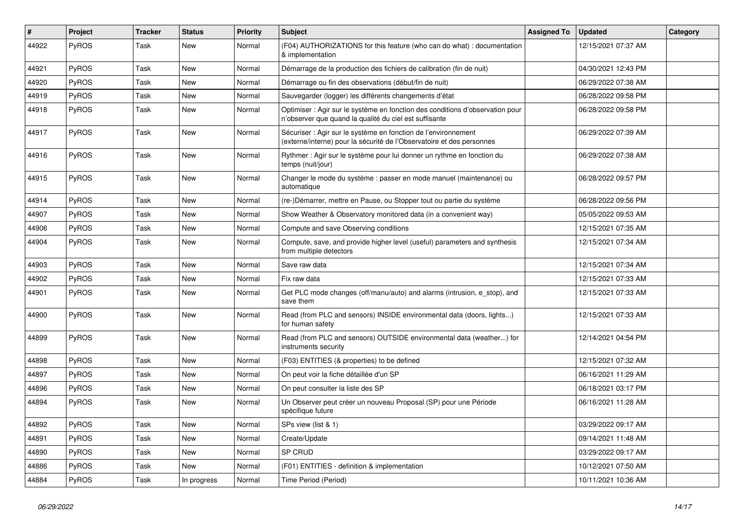| #     | Project      | <b>Tracker</b> | <b>Status</b> | Priority | <b>Subject</b>                                                                                                                          | <b>Assigned To</b> | <b>Updated</b>      | Category |
|-------|--------------|----------------|---------------|----------|-----------------------------------------------------------------------------------------------------------------------------------------|--------------------|---------------------|----------|
| 44922 | PyROS        | Task           | New           | Normal   | (F04) AUTHORIZATIONS for this feature (who can do what) : documentation<br>& implementation                                             |                    | 12/15/2021 07:37 AM |          |
| 44921 | PyROS        | Task           | New           | Normal   | Démarrage de la production des fichiers de calibration (fin de nuit)                                                                    |                    | 04/30/2021 12:43 PM |          |
| 44920 | PyROS        | Task           | New           | Normal   | Démarrage ou fin des observations (début/fin de nuit)                                                                                   |                    | 06/29/2022 07:38 AM |          |
| 44919 | PyROS        | Task           | <b>New</b>    | Normal   | Sauvegarder (logger) les différents changements d'état                                                                                  |                    | 06/28/2022 09:58 PM |          |
| 44918 | PyROS        | Task           | New           | Normal   | Optimiser : Agir sur le système en fonction des conditions d'observation pour<br>n'observer que quand la qualité du ciel est suffisante |                    | 06/28/2022 09:58 PM |          |
| 44917 | PyROS        | Task           | New           | Normal   | Sécuriser : Agir sur le système en fonction de l'environnement<br>(externe/interne) pour la sécurité de l'Observatoire et des personnes |                    | 06/29/2022 07:39 AM |          |
| 44916 | PyROS        | Task           | New           | Normal   | Rythmer : Agir sur le système pour lui donner un rythme en fonction du<br>temps (nuit/jour)                                             |                    | 06/29/2022 07:38 AM |          |
| 44915 | PyROS        | Task           | New           | Normal   | Changer le mode du système : passer en mode manuel (maintenance) ou<br>automatique                                                      |                    | 06/28/2022 09:57 PM |          |
| 44914 | PyROS        | Task           | <b>New</b>    | Normal   | (re-)Démarrer, mettre en Pause, ou Stopper tout ou partie du système                                                                    |                    | 06/28/2022 09:56 PM |          |
| 44907 | PyROS        | Task           | New           | Normal   | Show Weather & Observatory monitored data (in a convenient way)                                                                         |                    | 05/05/2022 09:53 AM |          |
| 44906 | PyROS        | Task           | <b>New</b>    | Normal   | Compute and save Observing conditions                                                                                                   |                    | 12/15/2021 07:35 AM |          |
| 44904 | PyROS        | Task           | New           | Normal   | Compute, save, and provide higher level (useful) parameters and synthesis<br>from multiple detectors                                    |                    | 12/15/2021 07:34 AM |          |
| 44903 | PyROS        | Task           | New           | Normal   | Save raw data                                                                                                                           |                    | 12/15/2021 07:34 AM |          |
| 44902 | PyROS        | Task           | New           | Normal   | Fix raw data                                                                                                                            |                    | 12/15/2021 07:33 AM |          |
| 44901 | PyROS        | Task           | New           | Normal   | Get PLC mode changes (off/manu/auto) and alarms (intrusion, e_stop), and<br>save them                                                   |                    | 12/15/2021 07:33 AM |          |
| 44900 | PyROS        | Task           | New           | Normal   | Read (from PLC and sensors) INSIDE environmental data (doors, lights)<br>for human safety                                               |                    | 12/15/2021 07:33 AM |          |
| 44899 | PyROS        | Task           | New           | Normal   | Read (from PLC and sensors) OUTSIDE environmental data (weather) for<br>instruments security                                            |                    | 12/14/2021 04:54 PM |          |
| 44898 | PyROS        | Task           | <b>New</b>    | Normal   | (F03) ENTITIES (& properties) to be defined                                                                                             |                    | 12/15/2021 07:32 AM |          |
| 44897 | PyROS        | Task           | New           | Normal   | On peut voir la fiche détaillée d'un SP                                                                                                 |                    | 06/16/2021 11:29 AM |          |
| 44896 | PyROS        | Task           | New           | Normal   | On peut consulter la liste des SP                                                                                                       |                    | 06/18/2021 03:17 PM |          |
| 44894 | <b>PyROS</b> | Task           | New           | Normal   | Un Observer peut créer un nouveau Proposal (SP) pour une Période<br>spécifique future                                                   |                    | 06/16/2021 11:28 AM |          |
| 44892 | PyROS        | Task           | New           | Normal   | SPs view (list & 1)                                                                                                                     |                    | 03/29/2022 09:17 AM |          |
| 44891 | PyROS        | Task           | New           | Normal   | Create/Update                                                                                                                           |                    | 09/14/2021 11:48 AM |          |
| 44890 | PyROS        | Task           | New           | Normal   | SP CRUD                                                                                                                                 |                    | 03/29/2022 09:17 AM |          |
| 44886 | PyROS        | Task           | New           | Normal   | (F01) ENTITIES - definition & implementation                                                                                            |                    | 10/12/2021 07:50 AM |          |
| 44884 | PyROS        | Task           | In progress   | Normal   | Time Period (Period)                                                                                                                    |                    | 10/11/2021 10:36 AM |          |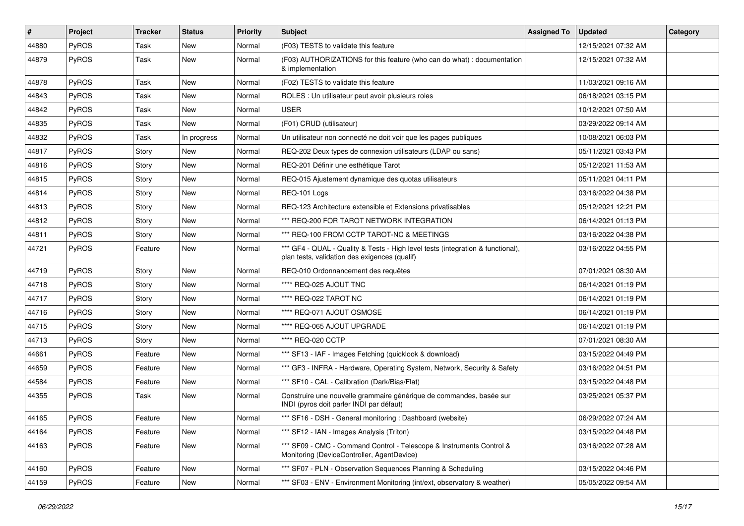| #     | Project      | Tracker | <b>Status</b> | Priority | <b>Subject</b>                                                                                                                   | <b>Assigned To</b> | <b>Updated</b>      | Category |
|-------|--------------|---------|---------------|----------|----------------------------------------------------------------------------------------------------------------------------------|--------------------|---------------------|----------|
| 44880 | PyROS        | Task    | New           | Normal   | (F03) TESTS to validate this feature                                                                                             |                    | 12/15/2021 07:32 AM |          |
| 44879 | PyROS        | Task    | New           | Normal   | (F03) AUTHORIZATIONS for this feature (who can do what) : documentation<br>& implementation                                      |                    | 12/15/2021 07:32 AM |          |
| 44878 | PyROS        | Task    | New           | Normal   | (F02) TESTS to validate this feature                                                                                             |                    | 11/03/2021 09:16 AM |          |
| 44843 | PyROS        | Task    | New           | Normal   | ROLES : Un utilisateur peut avoir plusieurs roles                                                                                |                    | 06/18/2021 03:15 PM |          |
| 44842 | PyROS        | Task    | New           | Normal   | <b>USER</b>                                                                                                                      |                    | 10/12/2021 07:50 AM |          |
| 44835 | PyROS        | Task    | New           | Normal   | (F01) CRUD (utilisateur)                                                                                                         |                    | 03/29/2022 09:14 AM |          |
| 44832 | <b>PyROS</b> | Task    | In progress   | Normal   | Un utilisateur non connecté ne doit voir que les pages publiques                                                                 |                    | 10/08/2021 06:03 PM |          |
| 44817 | PyROS        | Story   | New           | Normal   | REQ-202 Deux types de connexion utilisateurs (LDAP ou sans)                                                                      |                    | 05/11/2021 03:43 PM |          |
| 44816 | PyROS        | Story   | New           | Normal   | REQ-201 Définir une esthétique Tarot                                                                                             |                    | 05/12/2021 11:53 AM |          |
| 44815 | PyROS        | Story   | New           | Normal   | REQ-015 Ajustement dynamique des quotas utilisateurs                                                                             |                    | 05/11/2021 04:11 PM |          |
| 44814 | PyROS        | Story   | New           | Normal   | REQ-101 Logs                                                                                                                     |                    | 03/16/2022 04:38 PM |          |
| 44813 | PyROS        | Story   | New           | Normal   | REQ-123 Architecture extensible et Extensions privatisables                                                                      |                    | 05/12/2021 12:21 PM |          |
| 44812 | PyROS        | Story   | New           | Normal   | *** REQ-200 FOR TAROT NETWORK INTEGRATION                                                                                        |                    | 06/14/2021 01:13 PM |          |
| 44811 | PyROS        | Story   | New           | Normal   | *** REQ-100 FROM CCTP TAROT-NC & MEETINGS                                                                                        |                    | 03/16/2022 04:38 PM |          |
| 44721 | <b>PyROS</b> | Feature | New           | Normal   | *** GF4 - QUAL - Quality & Tests - High level tests (integration & functional),<br>plan tests, validation des exigences (qualif) |                    | 03/16/2022 04:55 PM |          |
| 44719 | PyROS        | Story   | New           | Normal   | REQ-010 Ordonnancement des requêtes                                                                                              |                    | 07/01/2021 08:30 AM |          |
| 44718 | PyROS        | Story   | New           | Normal   | **** REQ-025 AJOUT TNC                                                                                                           |                    | 06/14/2021 01:19 PM |          |
| 44717 | PyROS        | Story   | New           | Normal   | **** REQ-022 TAROT NC                                                                                                            |                    | 06/14/2021 01:19 PM |          |
| 44716 | PyROS        | Story   | New           | Normal   | **** REQ-071 AJOUT OSMOSE                                                                                                        |                    | 06/14/2021 01:19 PM |          |
| 44715 | PyROS        | Story   | New           | Normal   | **** REQ-065 AJOUT UPGRADE                                                                                                       |                    | 06/14/2021 01:19 PM |          |
| 44713 | PyROS        | Story   | New           | Normal   | **** REQ-020 CCTP                                                                                                                |                    | 07/01/2021 08:30 AM |          |
| 44661 | PyROS        | Feature | New           | Normal   | *** SF13 - IAF - Images Fetching (quicklook & download)                                                                          |                    | 03/15/2022 04:49 PM |          |
| 44659 | PyROS        | Feature | New           | Normal   | *** GF3 - INFRA - Hardware, Operating System, Network, Security & Safety                                                         |                    | 03/16/2022 04:51 PM |          |
| 44584 | PyROS        | Feature | New           | Normal   | *** SF10 - CAL - Calibration (Dark/Bias/Flat)                                                                                    |                    | 03/15/2022 04:48 PM |          |
| 44355 | PyROS        | Task    | New           | Normal   | Construire une nouvelle grammaire générique de commandes, basée sur<br>INDI (pyros doit parler INDI par défaut)                  |                    | 03/25/2021 05:37 PM |          |
| 44165 | PyROS        | Feature | New           | Normal   | *** SF16 - DSH - General monitoring : Dashboard (website)                                                                        |                    | 06/29/2022 07:24 AM |          |
| 44164 | PyROS        | Feature | New           | Normal   | *** SF12 - IAN - Images Analysis (Triton)                                                                                        |                    | 03/15/2022 04:48 PM |          |
| 44163 | PyROS        | Feature | New           | Normal   | *** SF09 - CMC - Command Control - Telescope & Instruments Control &<br>Monitoring (DeviceController, AgentDevice)               |                    | 03/16/2022 07:28 AM |          |
| 44160 | PyROS        | Feature | New           | Normal   | *** SF07 - PLN - Observation Sequences Planning & Scheduling                                                                     |                    | 03/15/2022 04:46 PM |          |
| 44159 | PyROS        | Feature | New           | Normal   | *** SF03 - ENV - Environment Monitoring (int/ext, observatory & weather)                                                         |                    | 05/05/2022 09:54 AM |          |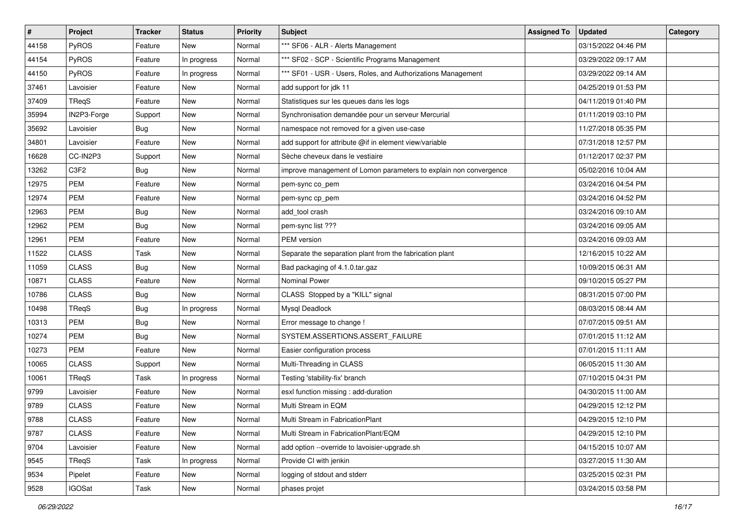| #     | Project          | <b>Tracker</b> | <b>Status</b> | <b>Priority</b> | <b>Subject</b>                                                    | <b>Assigned To</b> | <b>Updated</b>      | Category |
|-------|------------------|----------------|---------------|-----------------|-------------------------------------------------------------------|--------------------|---------------------|----------|
| 44158 | PyROS            | Feature        | New           | Normal          | *** SF06 - ALR - Alerts Management                                |                    | 03/15/2022 04:46 PM |          |
| 44154 | PyROS            | Feature        | In progress   | Normal          | *** SF02 - SCP - Scientific Programs Management                   |                    | 03/29/2022 09:17 AM |          |
| 44150 | PyROS            | Feature        | In progress   | Normal          | *** SF01 - USR - Users, Roles, and Authorizations Management      |                    | 03/29/2022 09:14 AM |          |
| 37461 | Lavoisier        | Feature        | New           | Normal          | add support for jdk 11                                            |                    | 04/25/2019 01:53 PM |          |
| 37409 | TReqS            | Feature        | New           | Normal          | Statistiques sur les queues dans les logs                         |                    | 04/11/2019 01:40 PM |          |
| 35994 | IN2P3-Forge      | Support        | New           | Normal          | Synchronisation demandée pour un serveur Mercurial                |                    | 01/11/2019 03:10 PM |          |
| 35692 | Lavoisier        | <b>Bug</b>     | New           | Normal          | namespace not removed for a given use-case                        |                    | 11/27/2018 05:35 PM |          |
| 34801 | Lavoisier        | Feature        | New           | Normal          | add support for attribute @if in element view/variable            |                    | 07/31/2018 12:57 PM |          |
| 16628 | CC-IN2P3         | Support        | New           | Normal          | Sèche cheveux dans le vestiaire                                   |                    | 01/12/2017 02:37 PM |          |
| 13262 | C <sub>3F2</sub> | Bug            | New           | Normal          | improve management of Lomon parameters to explain non convergence |                    | 05/02/2016 10:04 AM |          |
| 12975 | PEM              | Feature        | <b>New</b>    | Normal          | pem-sync co_pem                                                   |                    | 03/24/2016 04:54 PM |          |
| 12974 | <b>PEM</b>       | Feature        | New           | Normal          | pem-sync cp_pem                                                   |                    | 03/24/2016 04:52 PM |          |
| 12963 | <b>PEM</b>       | <b>Bug</b>     | New           | Normal          | add tool crash                                                    |                    | 03/24/2016 09:10 AM |          |
| 12962 | <b>PEM</b>       | <b>Bug</b>     | New           | Normal          | pem-sync list ???                                                 |                    | 03/24/2016 09:05 AM |          |
| 12961 | PEM              | Feature        | New           | Normal          | PEM version                                                       |                    | 03/24/2016 09:03 AM |          |
| 11522 | <b>CLASS</b>     | Task           | New           | Normal          | Separate the separation plant from the fabrication plant          |                    | 12/16/2015 10:22 AM |          |
| 11059 | <b>CLASS</b>     | <b>Bug</b>     | New           | Normal          | Bad packaging of 4.1.0.tar.gaz                                    |                    | 10/09/2015 06:31 AM |          |
| 10871 | <b>CLASS</b>     | Feature        | New           | Normal          | Nominal Power                                                     |                    | 09/10/2015 05:27 PM |          |
| 10786 | <b>CLASS</b>     | <b>Bug</b>     | New           | Normal          | CLASS Stopped by a "KILL" signal                                  |                    | 08/31/2015 07:00 PM |          |
| 10498 | TReqS            | Bug            | In progress   | Normal          | Mysql Deadlock                                                    |                    | 08/03/2015 08:44 AM |          |
| 10313 | <b>PEM</b>       | <b>Bug</b>     | New           | Normal          | Error message to change !                                         |                    | 07/07/2015 09:51 AM |          |
| 10274 | <b>PEM</b>       | <b>Bug</b>     | New           | Normal          | SYSTEM.ASSERTIONS.ASSERT_FAILURE                                  |                    | 07/01/2015 11:12 AM |          |
| 10273 | <b>PEM</b>       | Feature        | New           | Normal          | Easier configuration process                                      |                    | 07/01/2015 11:11 AM |          |
| 10065 | <b>CLASS</b>     | Support        | New           | Normal          | Multi-Threading in CLASS                                          |                    | 06/05/2015 11:30 AM |          |
| 10061 | TReqS            | Task           | In progress   | Normal          | Testing 'stability-fix' branch                                    |                    | 07/10/2015 04:31 PM |          |
| 9799  | Lavoisier        | Feature        | New           | Normal          | esxl function missing : add-duration                              |                    | 04/30/2015 11:00 AM |          |
| 9789  | <b>CLASS</b>     | Feature        | New           | Normal          | Multi Stream in EQM                                               |                    | 04/29/2015 12:12 PM |          |
| 9788  | <b>CLASS</b>     | Feature        | New           | Normal          | Multi Stream in FabricationPlant                                  |                    | 04/29/2015 12:10 PM |          |
| 9787  | CLASS            | Feature        | New           | Normal          | Multi Stream in FabricationPlant/EQM                              |                    | 04/29/2015 12:10 PM |          |
| 9704  | Lavoisier        | Feature        | New           | Normal          | add option --override to lavoisier-upgrade.sh                     |                    | 04/15/2015 10:07 AM |          |
| 9545  | TReqS            | Task           | In progress   | Normal          | Provide CI with jenkin                                            |                    | 03/27/2015 11:30 AM |          |
| 9534  | Pipelet          | Feature        | New           | Normal          | logging of stdout and stderr                                      |                    | 03/25/2015 02:31 PM |          |
| 9528  | <b>IGOSat</b>    | Task           | New           | Normal          | phases projet                                                     |                    | 03/24/2015 03:58 PM |          |